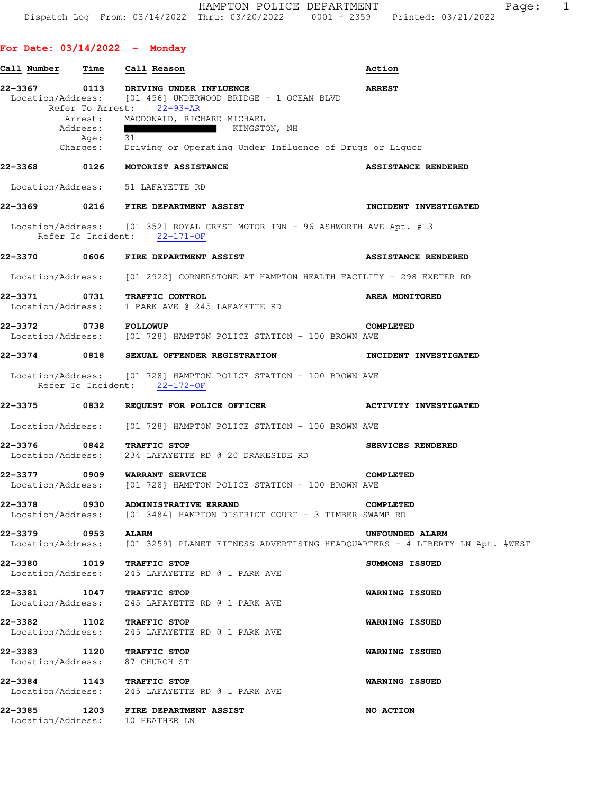| Call Number                  | Time                                    | Call Reason                                                                                                                                                                            | Action                       |
|------------------------------|-----------------------------------------|----------------------------------------------------------------------------------------------------------------------------------------------------------------------------------------|------------------------------|
|                              | Refer To Arrest:<br>Arrest:<br>Address: | 22-3367 0113 DRIVING UNDER INFLUENCE<br>$Location/Address:$ [01 456] UNDERWOOD BRIDGE - 1 OCEAN BLVD<br>$22 - 93 - AR$<br>MACDONALD, RICHARD MICHAEL<br>KINGSTON, NH<br>$\blacksquare$ | <b>ARREST</b>                |
|                              | Age:<br>Charges:                        | 31<br>Driving or Operating Under Influence of Drugs or Liquor                                                                                                                          |                              |
| 22-3368                      |                                         | 0126 MOTORIST ASSISTANCE                                                                                                                                                               | <b>ASSISTANCE RENDERED</b>   |
|                              |                                         | Location/Address: 51 LAFAYETTE RD                                                                                                                                                      |                              |
|                              |                                         | 22-3369 0216 FIRE DEPARTMENT ASSIST                                                                                                                                                    | INCIDENT INVESTIGATED        |
|                              |                                         | Location/Address: [01 352] ROYAL CREST MOTOR INN - 96 ASHWORTH AVE Apt. #13<br>Refer To Incident: 22-171-OF                                                                            |                              |
|                              |                                         | 22-3370 0606 FIRE DEPARTMENT ASSIST                                                                                                                                                    | <b>ASSISTANCE RENDERED</b>   |
|                              |                                         | Location/Address: [01 2922] CORNERSTONE AT HAMPTON HEALTH FACILITY - 298 EXETER RD                                                                                                     |                              |
| 22-3371<br>Location/Address: |                                         | 0731 TRAFFIC CONTROL<br>1 PARK AVE @ 245 LAFAYETTE RD                                                                                                                                  | AREA MONITORED               |
| 22-3372 0738 FOLLOWUP        |                                         | Location/Address: [01 728] HAMPTON POLICE STATION - 100 BROWN AVE                                                                                                                      | <b>COMPLETED</b>             |
|                              |                                         | 22-3374 0818 SEXUAL OFFENDER REGISTRATION                                                                                                                                              | INCIDENT INVESTIGATED        |
|                              |                                         | Location/Address: [01 728] HAMPTON POLICE STATION - 100 BROWN AVE<br>Refer To Incident: 22-172-OF                                                                                      |                              |
| 22-3375 0832                 |                                         | REQUEST FOR POLICE OFFICER                                                                                                                                                             | <b>ACTIVITY INVESTIGATED</b> |
|                              |                                         | Location/Address: [01 728] HAMPTON POLICE STATION - 100 BROWN AVE                                                                                                                      |                              |
|                              |                                         | 22-3376 0842 TRAFFIC STOP<br>Location/Address: 234 LAFAYETTE RD @ 20 DRAKESIDE RD                                                                                                      | SERVICES RENDERED            |
| 22–3377                      | 0909                                    | WARRANT SERVICE<br>Location/Address: [01 728] HAMPTON POLICE STATION - 100 BROWN AVE                                                                                                   | <b>COMPLETED</b>             |
| 22-3378                      | 0930                                    | ADMINISTRATIVE ERRAND<br>Location/Address: [01 3484] HAMPTON DISTRICT COURT - 3 TIMBER SWAMP RD                                                                                        | <b>COMPLETED</b>             |
|                              |                                         | <b>ALARM</b><br>Location/Address: [01 3259] PLANET FITNESS ADVERTISING HEADQUARTERS - 4 LIBERTY LN Apt. #WEST                                                                          | UNFOUNDED ALARM              |
|                              |                                         | 22-3380 1019 TRAFFIC STOP<br>Location/Address: 245 LAFAYETTE RD @ 1 PARK AVE                                                                                                           | SUMMONS ISSUED               |
|                              |                                         | 22-3381 1047 TRAFFIC STOP<br>Location/Address: 245 LAFAYETTE RD @ 1 PARK AVE                                                                                                           | <b>WARNING ISSUED</b>        |
|                              |                                         | 22-3382 1102 TRAFFIC STOP<br>Location/Address: 245 LAFAYETTE RD @ 1 PARK AVE                                                                                                           | <b>WARNING ISSUED</b>        |
| 22-3383                      |                                         | 1120 TRAFFIC STOP<br>Location/Address: 87 CHURCH ST                                                                                                                                    | <b>WARNING ISSUED</b>        |
|                              |                                         | 22-3384 1143 TRAFFIC STOP<br>Location/Address: 245 LAFAYETTE RD @ 1 PARK AVE                                                                                                           | <b>WARNING ISSUED</b>        |
|                              |                                         | 22-3385 1203 FIRE DEPARTMENT ASSIST<br>Location/Address: 10 HEATHER LN                                                                                                                 | NO ACTION                    |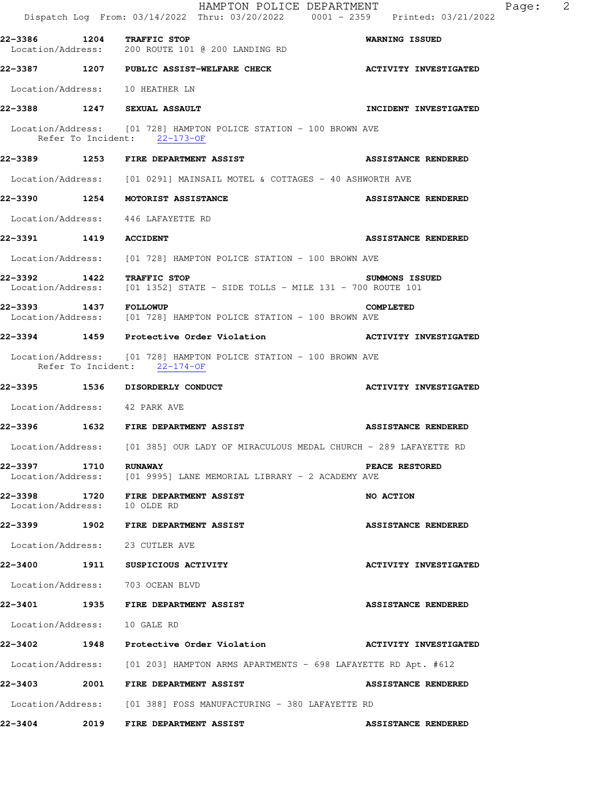|                               | HAMPTON POLICE DEPARTMENT<br>Dispatch Log From: 03/14/2022 Thru: 03/20/2022 0001 - 2359 Printed: 03/21/2022        | $\overline{\phantom{a}}^2$<br>Page: |
|-------------------------------|--------------------------------------------------------------------------------------------------------------------|-------------------------------------|
| 22-3386 1204 TRAFFIC STOP     | Location/Address: 200 ROUTE 101 @ 200 LANDING RD                                                                   | <b>WARNING ISSUED</b>               |
|                               | 22-3387 1207 PUBLIC ASSIST-WELFARE CHECK NET ACTIVITY INVESTIGATED                                                 |                                     |
|                               | Location/Address: 10 HEATHER LN                                                                                    |                                     |
|                               | 22-3388 1247 SEXUAL ASSAULT                                                                                        | INCIDENT INVESTIGATED               |
|                               | Location/Address: [01 728] HAMPTON POLICE STATION - 100 BROWN AVE<br>Refer To Incident: 22-173-OF                  |                                     |
|                               | 22-3389 1253 FIRE DEPARTMENT ASSIST                                                                                | <b>ASSISTANCE RENDERED</b>          |
|                               | Location/Address: [01 0291] MAINSAIL MOTEL & COTTAGES - 40 ASHWORTH AVE                                            |                                     |
|                               | 22-3390 1254 MOTORIST ASSISTANCE                                                                                   | <b>ASSISTANCE RENDERED</b>          |
|                               | Location/Address: 446 LAFAYETTE RD                                                                                 |                                     |
| 22-3391 1419 ACCIDENT         |                                                                                                                    | <b>ASSISTANCE RENDERED</b>          |
|                               | Location/Address: [01 728] HAMPTON POLICE STATION - 100 BROWN AVE                                                  |                                     |
|                               | 22-3392 1422 TRAFFIC STOP 5UMMONS ISS<br>Location/Address: [01 1352] STATE - SIDE TOLLS - MILE 131 - 700 ROUTE 101 | <b>SUMMONS ISSUED</b>               |
| 22-3393 1437 FOLLOWUP         | Location/Address: [01 728] HAMPTON POLICE STATION - 100 BROWN AVE                                                  | <b>COMPLETED</b>                    |
|                               | 22-3394 1459 Protective Order Violation Network ACTIVITY INVESTIGATED                                              |                                     |
|                               | Location/Address: [01 728] HAMPTON POLICE STATION - 100 BROWN AVE<br>Refer To Incident: 22-174-OF                  |                                     |
|                               | 22-3395 1536 DISORDERLY CONDUCT                                                                                    | <b>ACTIVITY INVESTIGATED</b>        |
| Location/Address: 42 PARK AVE |                                                                                                                    |                                     |
|                               | 22-3396 1632 FIRE DEPARTMENT ASSIST                                                                                | <b>ASSISTANCE RENDERED</b>          |
|                               | Location/Address: [01 385] OUR LADY OF MIRACULOUS MEDAL CHURCH - 289 LAFAYETTE RD                                  |                                     |
| 22-3397 1710 RUNAWAY          | Location/Address: [01 9995] LANE MEMORIAL LIBRARY - 2 ACADEMY AVE                                                  | PEACE RESTORED                      |
| Location/Address: 10 OLDE RD  | 22-3398 1720 FIRE DEPARTMENT ASSIST                                                                                | NO ACTION                           |
|                               | 22-3399 1902 FIRE DEPARTMENT ASSIST                                                                                | <b>ASSISTANCE RENDERED</b>          |
|                               | Location/Address: 23 CUTLER AVE                                                                                    |                                     |
|                               | 22-3400 1911 SUSPICIOUS ACTIVITY                                                                                   | <b>ACTIVITY INVESTIGATED</b>        |
|                               | Location/Address: 703 OCEAN BLVD                                                                                   |                                     |
|                               | 22-3401 1935 FIRE DEPARTMENT ASSIST                                                                                | <b>ASSISTANCE RENDERED</b>          |
| Location/Address: 10 GALE RD  |                                                                                                                    |                                     |
|                               | 22-3402 1948 Protective Order Violation                                                                            | <b>ACTIVITY INVESTIGATED</b>        |
|                               | Location/Address: [01 203] HAMPTON ARMS APARTMENTS - 698 LAFAYETTE RD Apt. #612                                    |                                     |
|                               | 22-3403 2001 FIRE DEPARTMENT ASSIST                                                                                | <b>ASSISTANCE RENDERED</b>          |
|                               | Location/Address: [01 388] FOSS MANUFACTURING - 380 LAFAYETTE RD                                                   |                                     |
| 22-3404                       | <b>2019 FIRE DEPARTMENT ASSIST</b>                                                                                 | <b>ASSISTANCE RENDERED</b>          |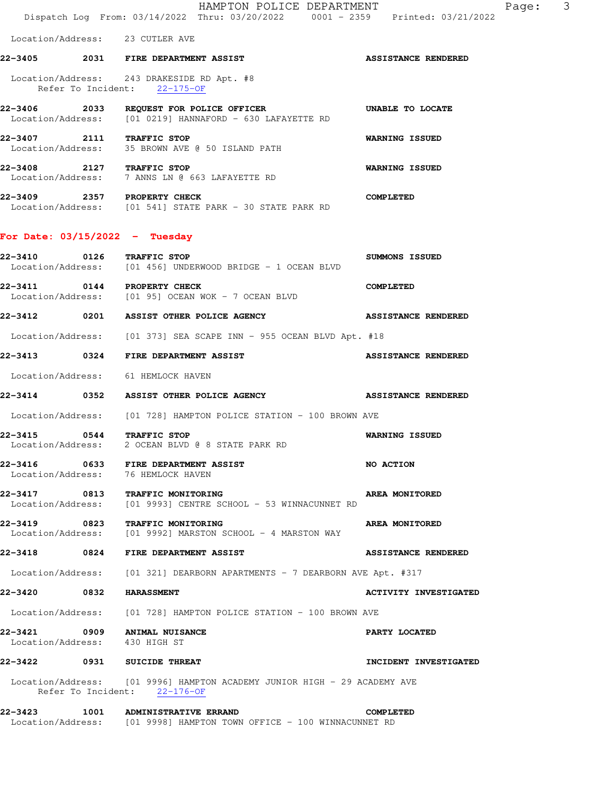HAMPTON POLICE DEPARTMENT FRAMENT Page: 3 Dispatch Log From: 03/14/2022 Thru: 03/20/2022 0001 - 2359 Printed: 03/21/2022 Location/Address: 23 CUTLER AVE **22-3405 2031 FIRE DEPARTMENT ASSIST ASSISTANCE RENDERED** 

 Location/Address: 243 DRAKESIDE RD Apt. #8 Refer To Incident: 22-175-OF

**22-3406 2033 REQUEST FOR POLICE OFFICER UNABLE TO LOCATE**  Location/Address: [01 0219] HANNAFORD - 630 LAFAYETTE RD **22-3407 2111 TRAFFIC STOP WARNING ISSUED** 

 Location/Address: 35 BROWN AVE @ 50 ISLAND PATH **22-3408 2127 TRAFFIC STOP WARNING ISSUED**  Location/Address: 7 ANNS LN @ 663 LAFAYETTE RD

**22-3409 2357 PROPERTY CHECK COMPLETED**  Location/Address: [01 541] STATE PARK - 30 STATE PARK RD

### **For Date: 03/15/2022 - Tuesday**

| 22-3410                                  | 0126 TRAFFIC STOP<br>Location/Address: [01 456] UNDERWOOD BRIDGE - 1 OCEAN BLVD                          | <b>SUMMONS ISSUED</b>        |
|------------------------------------------|----------------------------------------------------------------------------------------------------------|------------------------------|
|                                          | 22-3411 0144 PROPERTY CHECK<br>Location/Address: [01 95] OCEAN WOK - 7 OCEAN BLVD                        | <b>COMPLETED</b>             |
|                                          | 22-3412 0201 ASSIST OTHER POLICE AGENCY                                                                  | <b>ASSISTANCE RENDERED</b>   |
|                                          | Location/Address: [01 373] SEA SCAPE INN - 955 OCEAN BLVD Apt. #18                                       |                              |
|                                          | 22-3413 0324 FIRE DEPARTMENT ASSIST                                                                      | <b>ASSISTANCE RENDERED</b>   |
|                                          | Location/Address: 61 HEMLOCK HAVEN                                                                       |                              |
|                                          | 22-3414 0352 ASSIST OTHER POLICE AGENCY NET ASSISTANCE RENDERED                                          |                              |
|                                          | Location/Address: [01 728] HAMPTON POLICE STATION - 100 BROWN AVE                                        |                              |
| 22-3415 0544 TRAFFIC STOP                | Location/Address: 2 OCEAN BLVD @ 8 STATE PARK RD                                                         | <b>WARNING ISSUED</b>        |
|                                          | 22-3416 0633 FIRE DEPARTMENT ASSIST<br>Location/Address: 76 HEMLOCK HAVEN                                | <b>NO ACTION</b>             |
|                                          | 22-3417 0813 TRAFFIC MONITORING<br>Location/Address: [01 9993] CENTRE SCHOOL - 53 WINNACUNNET RD         | AREA MONITORED               |
|                                          | 22-3419 0823 TRAFFIC MONITORING<br>Location/Address: [01 9992] MARSTON SCHOOL - 4 MARSTON WAY            | <b>AREA MONITORED</b>        |
|                                          | 22-3418 0824 FIRE DEPARTMENT ASSIST                                                                      | <b>ASSISTANCE RENDERED</b>   |
|                                          | Location/Address: [01 321] DEARBORN APARTMENTS - 7 DEARBORN AVE Apt. #317                                |                              |
| 22-3420 0832 HARASSMENT                  |                                                                                                          | <b>ACTIVITY INVESTIGATED</b> |
|                                          | Location/Address: [01 728] HAMPTON POLICE STATION - 100 BROWN AVE                                        |                              |
| 22-3421<br>Location/Address: 430 HIGH ST | 0909 ANIMAL NUISANCE                                                                                     | PARTY LOCATED                |
|                                          | 22-3422 0931 SUICIDE THREAT                                                                              | <b>INCIDENT INVESTIGATED</b> |
|                                          | Location/Address: [01 9996] HAMPTON ACADEMY JUNIOR HIGH - 29 ACADEMY AVE<br>Refer To Incident: 22-176-OF |                              |
| 22-3423                                  | 1001 ADMINISTRATIVE ERRAND                                                                               | <b>COMPLETED</b>             |

Location/Address: [01 9998] HAMPTON TOWN OFFICE - 100 WINNACUNNET RD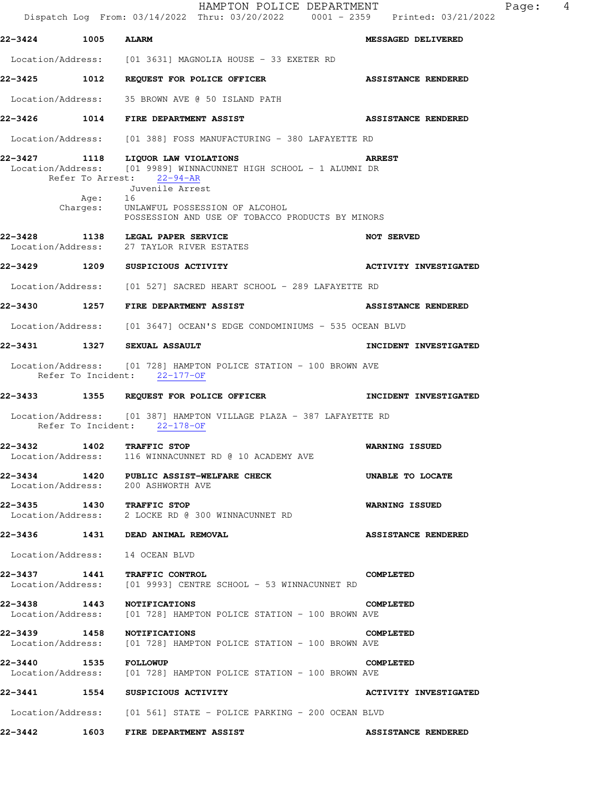HAMPTON POLICE DEPARTMENT Fage: 4 Dispatch Log From: 03/14/2022 Thru: 03/20/2022 0001 - 2359 Printed: 03/21/2022 **22-3424 1005 ALARM MESSAGED DELIVERED**  Location/Address: [01 3631] MAGNOLIA HOUSE - 33 EXETER RD

**22-3425 1012 REQUEST FOR POLICE OFFICER ASSISTANCE RENDERED** 

Location/Address: 35 BROWN AVE @ 50 ISLAND PATH

**22-3426 1014 FIRE DEPARTMENT ASSIST ASSISTANCE RENDERED** 

Location/Address: [01 388] FOSS MANUFACTURING - 380 LAFAYETTE RD

**22-3427 1118 LIQUOR LAW VIOLATIONS ARREST**  Location/Address: [01 9989] WINNACUNNET HIGH SCHOOL - 1 ALUMNI DR Refer To Arrest: 22-94-AR

- Juvenile Arrest Age: Charges: UNLAWFUL POSSESSION OF ALCOHOL POSSESSION AND USE OF TOBACCO PRODUCTS BY MINORS
- **22-3428 1138 LEGAL PAPER SERVICE 128 NOT SERVED**<br>Location/Address: 27 TAYLOR RIVER ESTATES 27 TAYLOR RIVER ESTATES
- **22-3429 1209 SUSPICIOUS ACTIVITY ACTIVITY INVESTIGATED**
- Location/Address: [01 527] SACRED HEART SCHOOL 289 LAFAYETTE RD
- **22-3430 1257 FIRE DEPARTMENT ASSIST ASSISTANCE RENDERED**
- Location/Address: [01 3647] OCEAN'S EDGE CONDOMINIUMS 535 OCEAN BLVD
- **22-3431 1327 SEXUAL ASSAULT INCIDENT INVESTIGATED**
- Location/Address: [01 728] HAMPTON POLICE STATION 100 BROWN AVE Refer To Incident: 22-177-OF
- **22-3433 1355 REQUEST FOR POLICE OFFICER INCIDENT INVESTIGATED**
- Location/Address: [01 387] HAMPTON VILLAGE PLAZA 387 LAFAYETTE RD Refer To Incident: 22-178-OF
- **22-3432 1402 TRAFFIC STOP WARNING ISSUED**  Location/Address: 116 WINNACUNNET RD @ 10 ACADEMY AVE
- **22-3434 1420 PUBLIC ASSIST-WELFARE CHECK UNABLE TO LOCATE** Location/Address: 200 ASHWORTH AVE Location/Address:
- **22-3435 1430 TRAFFIC STOP WARNING ISSUED**  Location/Address: 2 LOCKE RD @ 300 WINNACUNNET RD
- **22-3436 1431 DEAD ANIMAL REMOVAL ASSISTANCE RENDERED**

Location/Address: 14 OCEAN BLVD

- **22-3437 1441 TRAFFIC CONTROL COMPLETED**  Location/Address: [01 9993] CENTRE SCHOOL - 53 WINNACUNNET RD
- **22-3438 1443 NOTIFICATIONS COMPLETED**  Location/Address: [01 728] HAMPTON POLICE STATION - 100 BROWN AVE
- **22-3439 1458 NOTIFICATIONS COMPLETED**  Location/Address: [01 728] HAMPTON POLICE STATION - 100 BROWN AVE
- **22-3440 1535 FOLLOWUP COMPLETED**  Location/Address: [01 728] HAMPTON POLICE STATION - 100 BROWN AVE
- **22-3441 1554 SUSPICIOUS ACTIVITY ACTIVITY INVESTIGATED**
- Location/Address: [01 561] STATE POLICE PARKING 200 OCEAN BLVD
- **22-3442 1603 FIRE DEPARTMENT ASSIST ASSISTANCE RENDERED**
-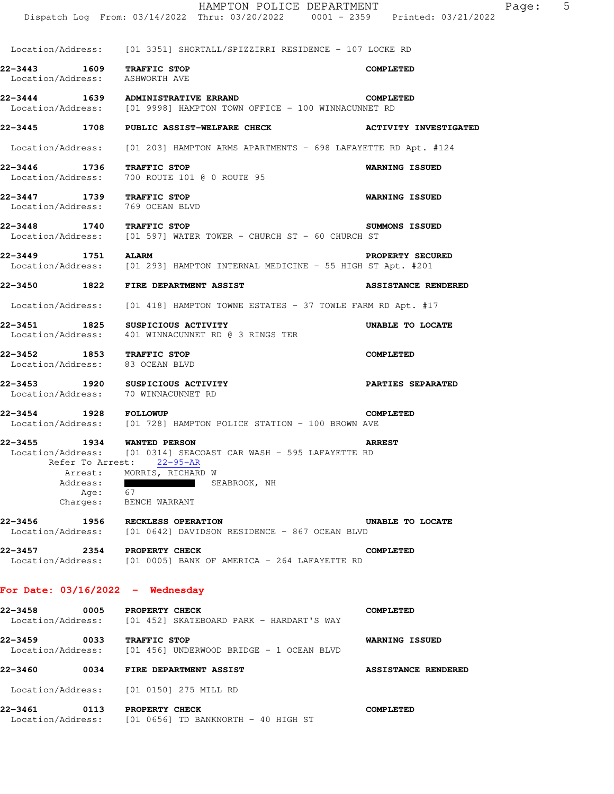|                                                |                  | HAMPTON POLICE DEPARTMENT<br>Dispatch Log From: 03/14/2022 Thru: 03/20/2022 0001 - 2359 Printed: 03/21/2022                                                                                                        | 5<br>Page:                   |
|------------------------------------------------|------------------|--------------------------------------------------------------------------------------------------------------------------------------------------------------------------------------------------------------------|------------------------------|
|                                                |                  | Location/Address: [01 3351] SHORTALL/SPIZZIRRI RESIDENCE - 107 LOCKE RD                                                                                                                                            |                              |
| 22-3443<br>Location/Address:                   |                  | 1609 TRAFFIC STOP<br>ASHWORTH AVE                                                                                                                                                                                  | <b>COMPLETED</b>             |
|                                                |                  | 22-3444 1639 ADMINISTRATIVE ERRAND<br>Location/Address: [01 9998] HAMPTON TOWN OFFICE - 100 WINNACUNNET RD                                                                                                         | <b>COMPLETED</b>             |
| 22-3445 1708                                   |                  | <b>PUBLIC ASSIST-WELFARE CHECK</b>                                                                                                                                                                                 | <b>ACTIVITY INVESTIGATED</b> |
| Location/Address:                              |                  | $[01\ 203]$ HAMPTON ARMS APARTMENTS - 698 LAFAYETTE RD Apt. #124                                                                                                                                                   |                              |
| 22–3446 1736<br>Location/Address:              |                  | TRAFFIC STOP<br>700 ROUTE 101 @ 0 ROUTE 95                                                                                                                                                                         | <b>WARNING ISSUED</b>        |
| 22-3447 1739 TRAFFIC STOP<br>Location/Address: |                  | 769 OCEAN BLVD                                                                                                                                                                                                     | <b>WARNING ISSUED</b>        |
| 22-3448                                        |                  | 1740 TRAFFIC STOP<br>$Location/Address:$ [01 597] WATER TOWER - CHURCH ST - 60 CHURCH ST                                                                                                                           | SUMMONS ISSUED               |
| 22-3449 1751                                   |                  | <b>ALARM</b><br>Location/Address: [01 293] HAMPTON INTERNAL MEDICINE - 55 HIGH ST Apt. #201                                                                                                                        | PROPERTY SECURED             |
|                                                |                  | 22-3450 1822 FIRE DEPARTMENT ASSIST                                                                                                                                                                                | <b>ASSISTANCE RENDERED</b>   |
|                                                |                  | Location/Address: [01 418] HAMPTON TOWNE ESTATES - 37 TOWLE FARM RD Apt. #17                                                                                                                                       |                              |
| 22-3451 1825                                   |                  | SUSPICIOUS ACTIVITY<br>Location/Address: 401 WINNACUNNET RD @ 3 RINGS TER                                                                                                                                          | UNABLE TO LOCATE             |
| 22-3452 1853 TRAFFIC STOP<br>Location/Address: |                  | 83 OCEAN BLVD                                                                                                                                                                                                      | <b>COMPLETED</b>             |
|                                                |                  | 22-3453 1920 SUSPICIOUS ACTIVITY<br>Location/Address: 70 WINNACUNNET RD                                                                                                                                            | <b>PARTIES SEPARATED</b>     |
| 22-3454 1928 FOLLOWUP<br>Location/Address:     |                  | [01 728] HAMPTON POLICE STATION - 100 BROWN AVE                                                                                                                                                                    | <b>COMPLETED</b>             |
| 22-3455                                        | 1934<br>Address: | <b>WANTED PERSON</b><br>Location/Address: [01 0314] SEACOAST CAR WASH - 595 LAFAYETTE RD<br>Refer To Arrest: 22-95-AR<br>Arrest: MORRIS, RICHARD W<br>and the company of the company of<br>SEABROOK, NH<br>Age: 67 | <b>ARREST</b>                |
| 22-3456                                        |                  | Charges: BENCH WARRANT<br>1956 RECKLESS OPERATION<br>Location/Address: [01 0642] DAVIDSON RESIDENCE - 867 OCEAN BLVD                                                                                               | UNABLE TO LOCATE             |
|                                                |                  | 22-3457 2354 PROPERTY CHECK<br>Location/Address: [01 0005] BANK OF AMERICA - 264 LAFAYETTE RD                                                                                                                      | <b>COMPLETED</b>             |
|                                                |                  | For Date: $03/16/2022 -$ Wednesday                                                                                                                                                                                 |                              |
|                                                |                  | 22-3458 0005 PROPERTY CHECK<br>Location/Address: [01 452] SKATEBOARD PARK - HARDART'S WAY                                                                                                                          | <b>COMPLETED</b>             |
| 22-3459                                        |                  | 0033 TRAFFIC STOP<br>$Location/Address:$ [01 456] UNDERWOOD BRIDGE - 1 OCEAN BLVD                                                                                                                                  | <b>WARNING ISSUED</b>        |
| 22-3460                                        |                  | 0034 FIRE DEPARTMENT ASSIST                                                                                                                                                                                        | <b>ASSISTANCE RENDERED</b>   |
|                                                |                  | Location/Address: [01 0150] 275 MILL RD                                                                                                                                                                            |                              |
|                                                |                  | 22-3461 0113 PROPERTY CHECK<br>Location/Address: [01 0656] TD BANKNORTH - 40 HIGH ST                                                                                                                               | <b>COMPLETED</b>             |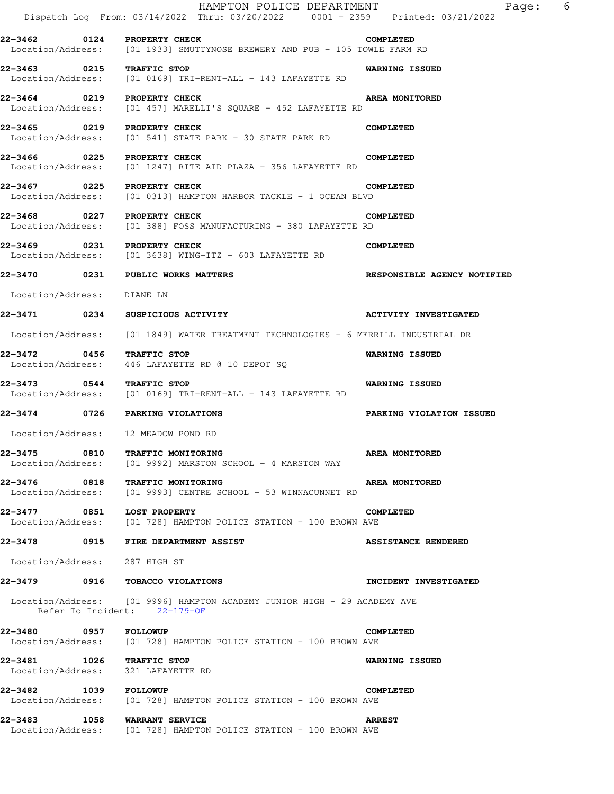|                                                                 | HAMPTON POLICE DEPARTMENT<br>Dispatch Log From: 03/14/2022 Thru: 03/20/2022 0001 - 2359 Printed: 03/21/2022 | $6\overline{6}$<br>Page:           |
|-----------------------------------------------------------------|-------------------------------------------------------------------------------------------------------------|------------------------------------|
| 22-3462 0124 PROPERTY CHECK                                     | Location/Address: [01 1933] SMUTTYNOSE BREWERY AND PUB - 105 TOWLE FARM RD                                  | <b>COMPLETED</b>                   |
| 22-3463 0215 TRAFFIC STOP                                       | Location/Address: [01 0169] TRI-RENT-ALL - 143 LAFAYETTE RD                                                 | <b>WARNING ISSUED</b>              |
| 22-3464 0219 PROPERTY CHECK                                     | Location/Address: [01 457] MARELLI'S SQUARE - 452 LAFAYETTE RD                                              | <b>AREA MONITORED</b>              |
| 22-3465 0219 PROPERTY CHECK                                     | Location/Address: [01 541] STATE PARK - 30 STATE PARK RD                                                    | <b>COMPLETED</b>                   |
|                                                                 | 22-3466 0225 PROPERTY CHECK<br>Location/Address: [01 1247] RITE AID PLAZA - 356 LAFAYETTE RD                | <b>COMPLETED</b>                   |
| 22-3467 0225 PROPERTY CHECK                                     | Location/Address: [01 0313] HAMPTON HARBOR TACKLE - 1 OCEAN BLVD                                            | <b>COMPLETED</b>                   |
| 22-3468 0227 PROPERTY CHECK                                     | Location/Address: [01 388] FOSS MANUFACTURING - 380 LAFAYETTE RD                                            | <b>COMPLETED</b>                   |
| 22-3469 0231 PROPERTY CHECK                                     | Location/Address: [01 3638] WING-ITZ - 603 LAFAYETTE RD                                                     | <b>COMPLETED</b>                   |
| 22-3470 0231 PUBLIC WORKS MATTERS                               |                                                                                                             | <b>RESPONSIBLE AGENCY NOTIFIED</b> |
| Location/Address:                                               | DIANE LN                                                                                                    |                                    |
| 22-3471 0234 SUSPICIOUS ACTIVITY                                |                                                                                                             | <b>ACTIVITY INVESTIGATED</b>       |
|                                                                 | Location/Address: [01 1849] WATER TREATMENT TECHNOLOGIES - 6 MERRILL INDUSTRIAL DR                          |                                    |
| 22-3472 0456 TRAFFIC STOP                                       | Location/Address: 446 LAFAYETTE RD @ 10 DEPOT SQ                                                            | <b>WARNING ISSUED</b>              |
| 22-3473 0544 TRAFFIC STOP                                       | Location/Address: [01 0169] TRI-RENT-ALL - 143 LAFAYETTE RD                                                 | <b>WARNING ISSUED</b>              |
| 22-3474 0726 PARKING VIOLATIONS                                 |                                                                                                             | PARKING VIOLATION ISSUED           |
| Location/Address: 12 MEADOW POND RD                             |                                                                                                             |                                    |
| 22–3475                                                         | 0810 TRAFFIC MONITORING<br>Location/Address: [01 9992] MARSTON SCHOOL - 4 MARSTON WAY                       | <b>AREA MONITORED</b>              |
| 22-3476 0818 TRAFFIC MONITORING                                 | Location/Address: [01 9993] CENTRE SCHOOL - 53 WINNACUNNET RD                                               | <b>AREA MONITORED</b>              |
|                                                                 | 22-3477 0851 LOST PROPERTY<br>Location/Address: [01 728] HAMPTON POLICE STATION - 100 BROWN AVE             | <b>COMPLETED</b>                   |
|                                                                 | 22-3478 0915 FIRE DEPARTMENT ASSIST                                                                         | <b>ASSISTANCE RENDERED</b>         |
| Location/Address: 287 HIGH ST                                   |                                                                                                             |                                    |
| 22-3479 0916 TOBACCO VIOLATIONS                                 |                                                                                                             | INCIDENT INVESTIGATED              |
| Refer To Incident: 22-179-OF                                    | Location/Address: [01 9996] HAMPTON ACADEMY JUNIOR HIGH - 29 ACADEMY AVE                                    |                                    |
| 22-3480 0957 FOLLOWUP                                           | Location/Address: [01 728] HAMPTON POLICE STATION - 100 BROWN AVE                                           | <b>COMPLETED</b>                   |
| 22-3481 1026 TRAFFIC STOP<br>Location/Address: 321 LAFAYETTE RD |                                                                                                             | <b>WARNING ISSUED</b>              |
| 22-3482 1039 FOLLOWUP                                           | Location/Address: [01 728] HAMPTON POLICE STATION - 100 BROWN AVE                                           | <b>COMPLETED</b>                   |
| 22-3483 1058 WARRANT SERVICE                                    | Location/Address: [01 728] HAMPTON POLICE STATION - 100 BROWN AVE                                           | <b>ARREST</b>                      |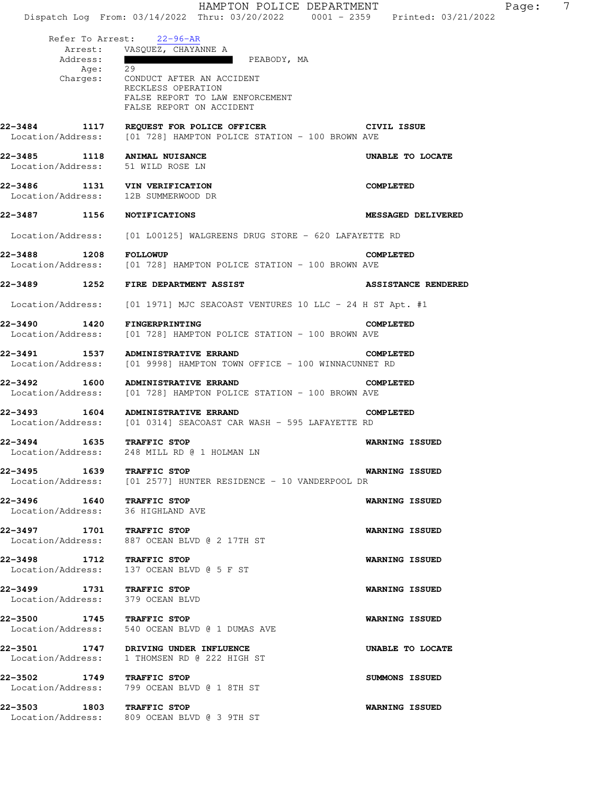HAMPTON POLICE DEPARTMENT Page: 7 Dispatch Log From: 03/14/2022 Thru: 03/20/2022 0001 - 2359 Printed: 03/21/2022 Refer To Arrest: 22-96-AR Arrest: VASQUEZ, CHAYANNE A Address: PEABODY, MA Age: 29<br>Charges: CO CONDUCT AFTER AN ACCIDENT RECKLESS OPERATION FALSE REPORT TO LAW ENFORCEMENT FALSE REPORT ON ACCIDENT **22-3484 1117 REQUEST FOR POLICE OFFICER CIVIL ISSUE**  Location/Address: [01 728] HAMPTON POLICE STATION - 100 BROWN AVE **22-3485 1118 ANIMAL NUISANCE UNABLE TO LOCATE**  Location/Address: 51 WILD ROSE LN **22-3486 1131 VIN VERIFICATION COMPLETED**  Location/Address: 12B SUMMERWOOD DR **22-3487 1156 NOTIFICATIONS MESSAGED DELIVERED**  Location/Address: [01 L00125] WALGREENS DRUG STORE - 620 LAFAYETTE RD **22-3488 1208 FOLLOWUP COMPLETED**<br>Location/Address: [01 728] HAMPTON POLICE STATION - 100 BROWN AVE [01 728] HAMPTON POLICE STATION - 100 BROWN AVE **22-3489 1252 FIRE DEPARTMENT ASSIST ASSISTANCE RENDERED**  Location/Address: [01 1971] MJC SEACOAST VENTURES 10 LLC - 24 H ST Apt. #1 **22-3490 1420 FINGERPRINTING COMPLETED**  Location/Address: [01 728] HAMPTON POLICE STATION - 100 BROWN AVE **22-3491 1537 ADMINISTRATIVE ERRAND COMPLETED**  Location/Address: [01 9998] HAMPTON TOWN OFFICE - 100 WINNACUNNET RD **22-3492 1600 ADMINISTRATIVE ERRAND COMPLETED**  Location/Address: [01 728] HAMPTON POLICE STATION - 100 BROWN AVE **22-3493 1604 ADMINISTRATIVE ERRAND COMPLETED**<br>Location/Address: [01 0314] SEACOAST CAR WASH - 595 LAFAYETTE RD [01 0314] SEACOAST CAR WASH - 595 LAFAYETTE RD **22-3494 1635 TRAFFIC STOP WARNING ISSUED**  Location/Address: 248 MILL RD @ 1 HOLMAN LN **22-3495 1639 TRAFFIC STOP WARNING ISSUED**  Location/Address: [01 2577] HUNTER RESIDENCE - 10 VANDERPOOL DR **22-3496 1640 TRAFFIC STOP WARNING ISSUED**  Location/Address: 36 HIGHLAND AVE **22-3497 1701 TRAFFIC STOP WARNING ISSUED**  Location/Address: 887 OCEAN BLVD @ 2 17TH ST **22-3498 1712 TRAFFIC STOP WARNING ISSUED**  Location/Address: 137 OCEAN BLVD @ 5 F ST **22-3499 1731 TRAFFIC STOP WARNING ISSUED**  Location/Address: 379 OCEAN BLVD **22-3500 1745 TRAFFIC STOP WARNING ISSUED**  Location/Address: 540 OCEAN BLVD @ 1 DUMAS AVE **22-3501 1747 DRIVING UNDER INFLUENCE UNABLE TO LOCATE**  Location/Address: 1 THOMSEN RD @ 222 HIGH ST **22-3502 1749 TRAFFIC STOP SUMMONS ISSUED**  Location/Address: 799 OCEAN BLVD @ 1 8TH ST **22-3503 1803 TRAFFIC STOP WARNING ISSUED**  Location/Address: 809 OCEAN BLVD @ 3 9TH ST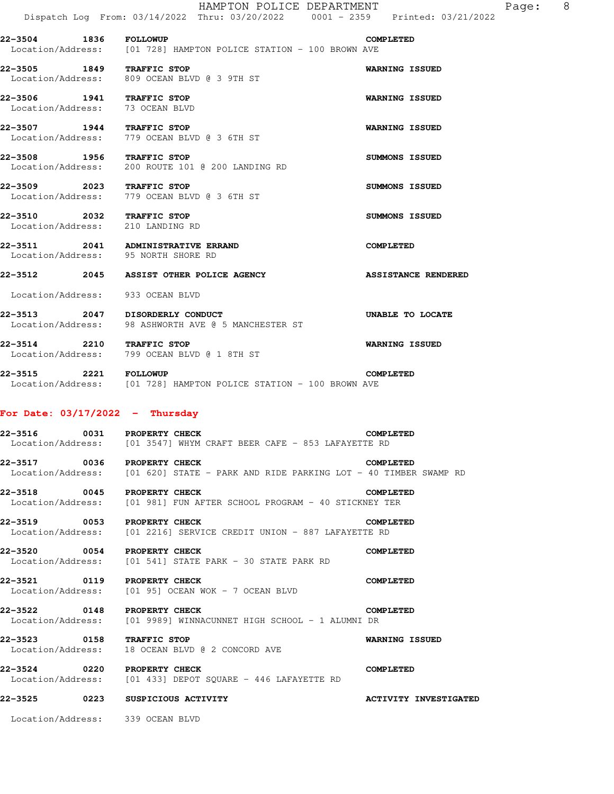HAMPTON POLICE DEPARTMENT Fage: 8

 Dispatch Log From: 03/14/2022 Thru: 03/20/2022 0001 - 2359 Printed: 03/21/2022 **22-3504 1836 FOLLOWUP COMPLETED** 

 Location/Address: [01 728] HAMPTON POLICE STATION - 100 BROWN AVE **22-3505 1849 TRAFFIC STOP WARNING ISSUED**  Location/Address: 809 OCEAN BLVD @ 3 9TH ST **22-3506 1941 TRAFFIC STOP WARNING ISSUED**  Location/Address: 73 OCEAN BLVD

**22-3507 1944 TRAFFIC STOP WARNING ISSUED**<br>
Location/Address: 779 OCEAN BLVD @ 3 6TH ST 779 OCEAN BLVD @ 3 6TH ST

**22-3508 1956 TRAFFIC STOP SUMMONS ISSUED**  Location/Address: 200 ROUTE 101 @ 200 LANDING RD

**22-3509 2023 TRAFFIC STOP SUMMONS ISSUED**  Location/Address: 779 OCEAN BLVD @ 3 6TH ST

**22-3510 2032 TRAFFIC STOP SUMMONS ISSUED**  Location/Address: 210 LANDING RD

**22-3511 2041 ADMINISTRATIVE ERRAND COMPLETED**  Location/Address: 95 NORTH SHORE RD

**22-3512 2045 ASSIST OTHER POLICE AGENCY ASSISTANCE RENDERED** 

Location/Address: 933 OCEAN BLVD

**22-3513 2047 DISORDERLY CONDUCT UNABLE TO LOCATE**  Location/Address: 98 ASHWORTH AVE @ 5 MANCHESTER ST

**22-3514 2210 TRAFFIC STOP WARNING ISSUED**  Location/Address: 799 OCEAN BLVD @ 1 8TH ST

**22-3515 2221 FOLLOWUP COMPLETED**  Location/Address: [01 728] HAMPTON POLICE STATION - 100 BROWN AVE

#### **For Date: 03/17/2022 - Thursday**

**22-3516 0031 PROPERTY CHECK COMPLETED**  Location/Address: [01 3547] WHYM CRAFT BEER CAFE - 853 LAFAYETTE RD

**22-3517 0036 PROPERTY CHECK COMPLETED**  Location/Address: [01 620] STATE - PARK AND RIDE PARKING LOT - 40 TIMBER SWAMP RD

**22-3518 0045 PROPERTY CHECK COMPLETED**  Location/Address: [01 981] FUN AFTER SCHOOL PROGRAM - 40 STICKNEY TER

**22-3519 0053 PROPERTY CHECK COMPLETED**  Location/Address: [01 2216] SERVICE CREDIT UNION - 887 LAFAYETTE RD

**22-3520 0054 PROPERTY CHECK COMPLETED**  Location/Address: [01 541] STATE PARK - 30 STATE PARK RD

**22-3521 0119 PROPERTY CHECK COMPLETED**  Location/Address: [01 95] OCEAN WOK - 7 OCEAN BLVD

**22-3522 0148 PROPERTY CHECK COMPLETED**  Location/Address: [01 9989] WINNACUNNET HIGH SCHOOL - 1 ALUMNI DR

**22-3523 0158 TRAFFIC STOP WARNING ISSUED**  Location/Address: 18 OCEAN BLVD @ 2 CONCORD AVE

**22-3524 0220 PROPERTY CHECK COMPLETED**  Location/Address: [01 433] DEPOT SQUARE - 446 LAFAYETTE RD

**22-3525 0223 SUSPICIOUS ACTIVITY ACTIVITY INVESTIGATED** 

Location/Address: 339 OCEAN BLVD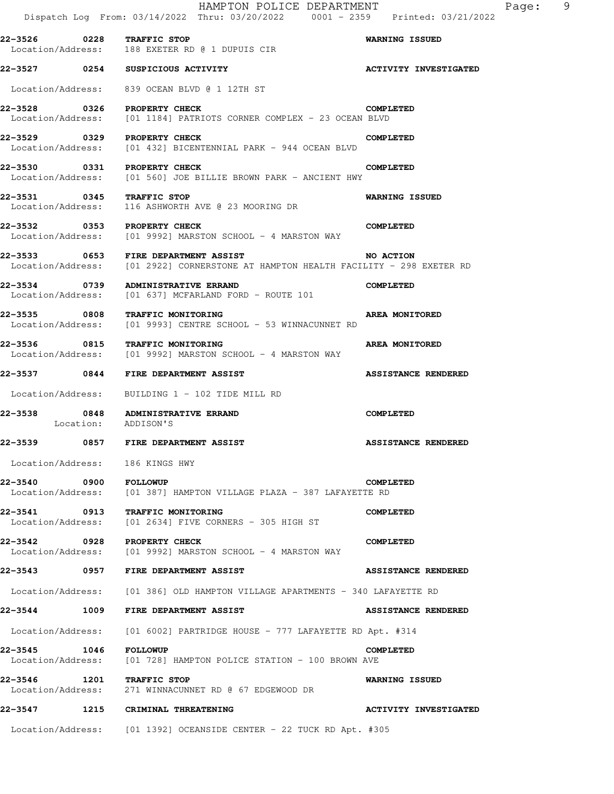|                                       |           | HAMPTON POLICE DEPARTMENT<br>Dispatch Log From: 03/14/2022 Thru: 03/20/2022 0001 - 2359 Printed: 03/21/2022               | -9<br>Page:                  |
|---------------------------------------|-----------|---------------------------------------------------------------------------------------------------------------------------|------------------------------|
|                                       |           | 22-3526 0228 TRAFFIC STOP<br>Location/Address: 188 EXETER RD @ 1 DUPUIS CIR                                               | <b>WARNING ISSUED</b>        |
|                                       |           | 22-3527 0254 SUSPICIOUS ACTIVITY                                                                                          | <b>ACTIVITY INVESTIGATED</b> |
| Location/Address:                     |           | 839 OCEAN BLVD @ 1 12TH ST                                                                                                |                              |
| Location/Address:                     |           | 22-3528 0326 PROPERTY CHECK<br>[01 1184] PATRIOTS CORNER COMPLEX - 23 OCEAN BLVD                                          | <b>COMPLETED</b>             |
| Location/Address:                     |           | 22-3529 0329 PROPERTY CHECK<br>[01 432] BICENTENNIAL PARK - 944 OCEAN BLVD                                                | <b>COMPLETED</b>             |
|                                       |           | 22-3530 0331 PROPERTY CHECK<br>Location/Address: [01 560] JOE BILLIE BROWN PARK - ANCIENT HWY                             | <b>COMPLETED</b>             |
| Location/Address:                     |           | 22-3531 0345 TRAFFIC STOP<br>116 ASHWORTH AVE @ 23 MOORING DR                                                             | <b>WARNING ISSUED</b>        |
|                                       |           | 22-3532 0353 PROPERTY CHECK<br>Location/Address: [01 9992] MARSTON SCHOOL - 4 MARSTON WAY                                 | <b>COMPLETED</b>             |
|                                       |           | 22-3533 0653 FIRE DEPARTMENT ASSIST<br>Location/Address: [01 2922] CORNERSTONE AT HAMPTON HEALTH FACILITY - 298 EXETER RD | NO ACTION                    |
| 22-3534 0739                          |           | <b>ADMINISTRATIVE ERRAND</b><br>Location/Address: [01 637] MCFARLAND FORD - ROUTE 101                                     | <b>COMPLETED</b>             |
| 22-3535 0808                          |           | <b>TRAFFIC MONITORING</b><br>Location/Address: [01 9993] CENTRE SCHOOL - 53 WINNACUNNET RD                                | AREA MONITORED               |
| 22-3536     0815<br>Location/Address: |           | <b>TRAFFIC MONITORING</b><br>[01 9992] MARSTON SCHOOL - 4 MARSTON WAY                                                     | AREA MONITORED               |
| 22-3537 0844                          |           | FIRE DEPARTMENT ASSIST                                                                                                    | <b>ASSISTANCE RENDERED</b>   |
| Location/Address:                     |           | BUILDING 1 - 102 TIDE MILL RD                                                                                             |                              |
|                                       | Location: | 22-3538 0848 ADMINISTRATIVE ERRAND<br>ADDISON'S                                                                           | <b>COMPLETED</b>             |
|                                       |           | 22-3539 0857 FIRE DEPARTMENT ASSIST                                                                                       | <b>ASSISTANCE RENDERED</b>   |
|                                       |           | Location/Address: 186 KINGS HWY                                                                                           |                              |
| 22-3540 0900 FOLLOWUP                 |           | Location/Address: [01 387] HAMPTON VILLAGE PLAZA - 387 LAFAYETTE RD                                                       | <b>COMPLETED</b>             |
|                                       |           | 22-3541 0913 TRAFFIC MONITORING<br>Location/Address: [01 2634] FIVE CORNERS - 305 HIGH ST                                 | <b>COMPLETED</b>             |
|                                       |           | 22-3542 0928 PROPERTY CHECK<br>Location/Address: [01 9992] MARSTON SCHOOL - 4 MARSTON WAY                                 | <b>COMPLETED</b>             |
|                                       |           | 22-3543 0957 FIRE DEPARTMENT ASSIST                                                                                       | <b>ASSISTANCE RENDERED</b>   |
|                                       |           | Location/Address: [01 386] OLD HAMPTON VILLAGE APARTMENTS - 340 LAFAYETTE RD                                              |                              |
|                                       |           | 22-3544 1009 FIRE DEPARTMENT ASSIST                                                                                       | <b>ASSISTANCE RENDERED</b>   |
|                                       |           | Location/Address: [01 6002] PARTRIDGE HOUSE - 777 LAFAYETTE RD Apt. #314                                                  |                              |
| <b>22-3545 1046 FOLLOWUP</b>          |           | Location/Address: [01 728] HAMPTON POLICE STATION - 100 BROWN AVE                                                         | <b>COMPLETED</b>             |
|                                       |           | 22-3546 1201 TRAFFIC STOP<br>Location/Address: 271 WINNACUNNET RD @ 67 EDGEWOOD DR                                        | WARNING ISSUED               |
|                                       |           | 22-3547 1215 CRIMINAL THREATENING                                                                                         | <b>ACTIVITY INVESTIGATED</b> |
|                                       |           | Location/Address: [01 1392] OCEANSIDE CENTER - 22 TUCK RD Apt. #305                                                       |                              |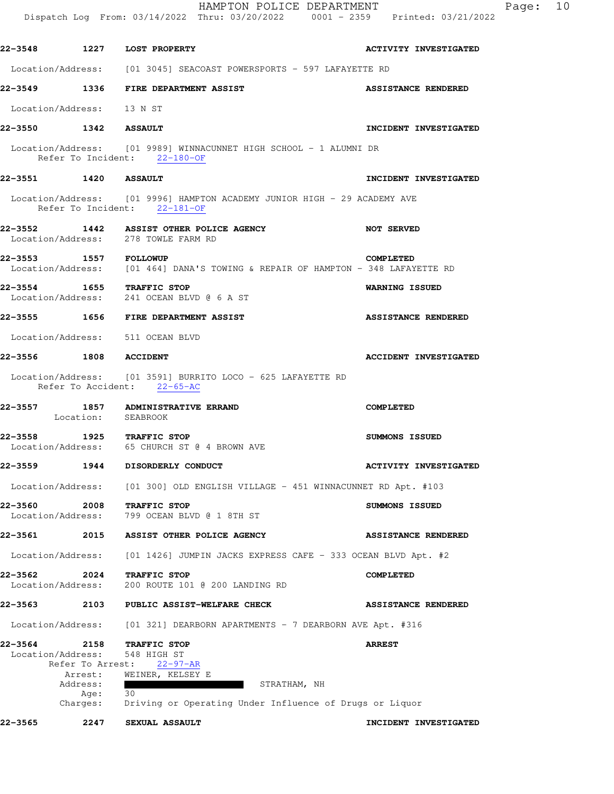|                              |                                               |                                                                                                          | HAMPTON POLICE DEPARTMENT<br>10<br>Page:<br>Dispatch Log From: 03/14/2022 Thru: 03/20/2022 0001 - 2359 Printed: 03/21/2022 |
|------------------------------|-----------------------------------------------|----------------------------------------------------------------------------------------------------------|----------------------------------------------------------------------------------------------------------------------------|
|                              |                                               | <b>22-3548 1227 LOST PROPERTY</b>                                                                        | <b>ACTIVITY INVESTIGATED</b>                                                                                               |
|                              |                                               | Location/Address: [01 3045] SEACOAST POWERSPORTS - 597 LAFAYETTE RD                                      |                                                                                                                            |
|                              |                                               | 22-3549 1336 FIRE DEPARTMENT ASSIST                                                                      | <b>ASSISTANCE RENDERED</b>                                                                                                 |
| Location/Address: 13 N ST    |                                               |                                                                                                          |                                                                                                                            |
| 22-3550 1342 ASSAULT         |                                               |                                                                                                          | INCIDENT INVESTIGATED                                                                                                      |
|                              |                                               | Location/Address: [01 9989] WINNACUNNET HIGH SCHOOL - 1 ALUMNI DR<br>Refer To Incident: 22-180-OF        |                                                                                                                            |
| 22-3551 1420 ASSAULT         |                                               |                                                                                                          | INCIDENT INVESTIGATED                                                                                                      |
|                              |                                               | Location/Address: [01 9996] HAMPTON ACADEMY JUNIOR HIGH - 29 ACADEMY AVE<br>Refer To Incident: 22-181-OF |                                                                                                                            |
|                              |                                               | 22-3552 1442 ASSIST OTHER POLICE AGENCY<br>Location/Address: 278 TOWLE FARM RD                           | <b>NOT SERVED</b>                                                                                                          |
| <b>22-3553 1557 FOLLOWUP</b> |                                               |                                                                                                          | COMPLETED<br>Location/Address: [01 464] DANA'S TOWING & REPAIR OF HAMPTON - 348 LAFAYETTE RD                               |
|                              |                                               | 22-3554 1655 TRAFFIC STOP<br>Location/Address: 241 OCEAN BLVD @ 6 A ST                                   | <b>WARNING ISSUED</b>                                                                                                      |
|                              |                                               | 22-3555 1656 FIRE DEPARTMENT ASSIST                                                                      | <b>ASSISTANCE RENDERED</b>                                                                                                 |
|                              |                                               | Location/Address: 511 OCEAN BLVD                                                                         |                                                                                                                            |
| 22-3556 1808 ACCIDENT        |                                               |                                                                                                          | <b>ACCIDENT INVESTIGATED</b>                                                                                               |
|                              |                                               | Location/Address: [01 3591] BURRITO LOCO - 625 LAFAYETTE RD<br>Refer To Accident: 22-65-AC               |                                                                                                                            |
|                              | Location: SEABROOK                            | 22-3557 1857 ADMINISTRATIVE ERRAND                                                                       | <b>COMPLETED</b>                                                                                                           |
|                              |                                               | 22-3558 1925 TRAFFIC STOP<br>Location/Address: 65 CHURCH ST @ 4 BROWN AVE                                | SUMMONS ISSUED                                                                                                             |
|                              |                                               | 22-3559 1944 DISORDERLY CONDUCT                                                                          | <b>ACTIVITY INVESTIGATED</b>                                                                                               |
|                              |                                               | Location/Address: [01 300] OLD ENGLISH VILLAGE - 451 WINNACUNNET RD Apt. #103                            |                                                                                                                            |
| 22-3560<br>Location/Address: | 2008                                          | TRAFFIC STOP<br>799 OCEAN BLVD @ 1 8TH ST                                                                | SUMMONS ISSUED                                                                                                             |
| 22-3561                      |                                               | 2015 ASSIST OTHER POLICE AGENCY                                                                          | <b>ASSISTANCE RENDERED</b>                                                                                                 |
|                              |                                               |                                                                                                          | Location/Address: [01 1426] JUMPIN JACKS EXPRESS CAFE - 333 OCEAN BLVD Apt. #2                                             |
| 22–3562                      | 2024<br>Location/Address:                     | TRAFFIC STOP<br>200 ROUTE 101 @ 200 LANDING RD                                                           | <b>COMPLETED</b>                                                                                                           |
|                              |                                               | 22-3563 2103 PUBLIC ASSIST-WELFARE CHECK                                                                 | <b>ASSISTANCE RENDERED</b>                                                                                                 |
|                              | Location/Address:                             | [01 321] DEARBORN APARTMENTS - 7 DEARBORN AVE Apt. #316                                                  |                                                                                                                            |
| 22–3564                      | 2158<br>Location/Address:<br>Refer To Arrest: | TRAFFIC STOP<br>548 HIGH ST<br>22-97-AR                                                                  | <b>ARREST</b>                                                                                                              |
|                              | Arrest:<br>Address:                           | WEINER, KELSEY E                                                                                         | STRATHAM, NH                                                                                                               |
|                              | Aqe:<br>Charges:                              | 30<br>Driving or Operating Under Influence of Drugs or Liquor                                            |                                                                                                                            |
| 22–3565                      | 2247                                          | SEXUAL ASSAULT                                                                                           | INCIDENT INVESTIGATED                                                                                                      |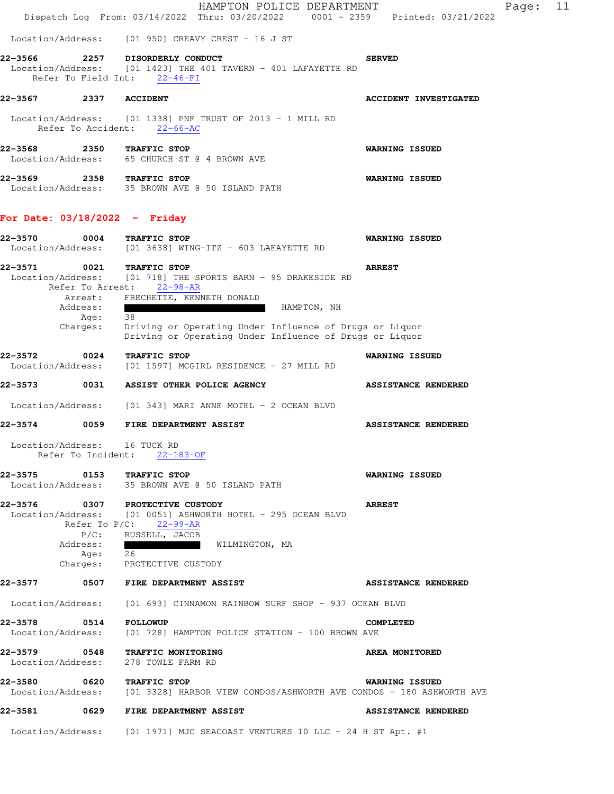|                                        | HAMPTON POLICE DEPARTMENT<br>Dispatch Log From: 03/14/2022 Thru: 03/20/2022 0001 - 2359 Printed: 03/21/2022 | 11<br>Page:                  |
|----------------------------------------|-------------------------------------------------------------------------------------------------------------|------------------------------|
|                                        | Location/Address: [01 950] CREAVY CREST - 16 J ST                                                           |                              |
| 22-3566<br>2257<br>Refer To Field Int: | DISORDERLY CONDUCT<br>Location/Address: [01 1423] THE 401 TAVERN - 401 LAFAYETTE RD<br>$22 - 46 - FI$       | <b>SERVED</b>                |
| 22–3567<br>2337                        | <b>ACCIDENT</b>                                                                                             | <b>ACCIDENT INVESTIGATED</b> |
| Refer To Accident:                     | Location/Address: [01 1338] PNF TRUST OF 2013 - 1 MILL RD<br>$22 - 66 - AC$                                 |                              |
| 22–3568                                | 2350<br>TRAFFIC STOP<br>Location/Address: 65 CHURCH ST @ 4 BROWN AVE                                        | <b>WARNING ISSUED</b>        |
| 2358<br>22–3569<br>Location/Address:   | TRAFFIC STOP<br>35 BROWN AVE @ 50 ISLAND PATH                                                               | <b>WARNING ISSUED</b>        |

## **For Date: 03/18/2022 - Friday**

| 22-3570<br>Location/Address: | 0004                                                                | TRAFFIC STOP<br>[01 3638] WING-ITZ - 603 LAFAYETTE RD                                                                                                                                                                                                | WARNING ISSUED             |
|------------------------------|---------------------------------------------------------------------|------------------------------------------------------------------------------------------------------------------------------------------------------------------------------------------------------------------------------------------------------|----------------------------|
| 22-3571<br>Location/Address: | 0021<br>Refer To Arrest:<br>Arrest:<br>Address:<br>Age:<br>Charges: | TRAFFIC STOP<br>[01 718] THE SPORTS BARN - 95 DRAKESIDE RD<br>$22 - 98 - AR$<br>FRECHETTE, KENNETH DONALD<br>HAMPTON, NH<br>38<br>Driving or Operating Under Influence of Drugs or Liquor<br>Driving or Operating Under Influence of Drugs or Liquor | <b>ARREST</b>              |
| 22-3572<br>Location/Address: | 0024                                                                | TRAFFIC STOP<br>[01 1597] MCGIRL RESIDENCE - 27 MILL RD                                                                                                                                                                                              | WARNING ISSUED             |
| 22–3573                      | 0031                                                                | ASSIST OTHER POLICE AGENCY                                                                                                                                                                                                                           | <b>ASSISTANCE RENDERED</b> |
| Location/Address:            |                                                                     | [01 343] MARI ANNE MOTEL - 2 OCEAN BLVD                                                                                                                                                                                                              |                            |
| 22–3574                      |                                                                     | 0059 FIRE DEPARTMENT ASSIST                                                                                                                                                                                                                          | <b>ASSISTANCE RENDERED</b> |
| Location/Address:            | Refer To Incident:                                                  | 16 TUCK RD<br>$22 - 183 - OF$                                                                                                                                                                                                                        |                            |
| 22–3575<br>Location/Address: | 0153                                                                | TRAFFIC STOP<br>35 BROWN AVE @ 50 ISLAND PATH                                                                                                                                                                                                        | WARNING ISSUED             |
| 22-3576<br>Location/Address: | 0307<br>Refer To $P/C$ :<br>$P/C$ :<br>Address:<br>Age:<br>Charges: | PROTECTIVE CUSTODY<br>[01 0051] ASHWORTH HOTEL - 295 OCEAN BLVD<br>$22 - 99 - AR$<br>RUSSELL, JACOB<br>WILMINGTON, MA<br>26<br>PROTECTIVE CUSTODY                                                                                                    | <b>ARREST</b>              |
| 22–3577                      | 0507                                                                | FIRE DEPARTMENT ASSIST                                                                                                                                                                                                                               | <b>ASSISTANCE RENDERED</b> |
| Location/Address:            |                                                                     | [01 693] CINNAMON RAINBOW SURF SHOP - 937 OCEAN BLVD                                                                                                                                                                                                 |                            |
| 22-3578<br>Location/Address: | 0514                                                                | <b>FOLLOWUP</b><br>[01 728] HAMPTON POLICE STATION - 100 BROWN AVE                                                                                                                                                                                   | <b>COMPLETED</b>           |
| 22–3579<br>Location/Address: | 0548                                                                | TRAFFIC MONITORING<br>278 TOWLE FARM RD                                                                                                                                                                                                              | AREA MONITORED             |
| 22-3580<br>Location/Address: | 0620                                                                | TRAFFIC STOP<br>[01 3328] HARBOR VIEW CONDOS/ASHWORTH AVE CONDOS - 180 ASHWORTH AVE                                                                                                                                                                  | WARNING ISSUED             |
| 22-3581                      | 0629                                                                | FIRE DEPARTMENT ASSIST                                                                                                                                                                                                                               | <b>ASSISTANCE RENDERED</b> |
| Location/Address:            |                                                                     | [01 1971] MJC SEACOAST VENTURES 10 LLC - 24 H ST Apt. $#1$                                                                                                                                                                                           |                            |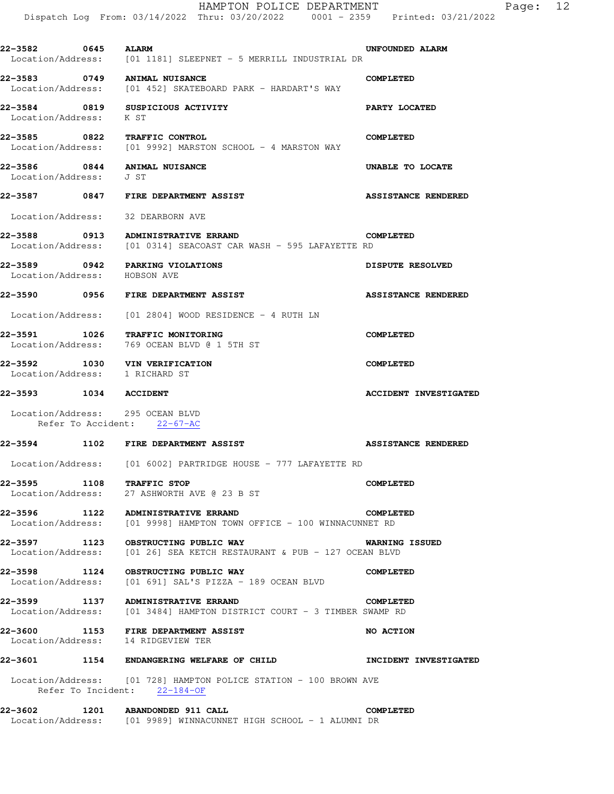| 22-3582 0645 ALARM               | $Location/Address:$ [01 1181] SLEEPNET - 5 MERRILL INDUSTRIAL DR                                             | UNFOUNDED ALARM              |
|----------------------------------|--------------------------------------------------------------------------------------------------------------|------------------------------|
|                                  | 22-3583 0749 ANIMAL NUISANCE<br>Location/Address: [01 452] SKATEBOARD PARK - HARDART'S WAY                   | <b>COMPLETED</b>             |
| Location/Address: K ST           | 22-3584 0819 SUSPICIOUS ACTIVITY                                                                             | PARTY LOCATED                |
|                                  | 22-3585 0822 TRAFFIC CONTROL<br>$Location/Address:$ [01 9992] MARSTON SCHOOL - 4 MARSTON WAY                 | <b>COMPLETED</b>             |
| Location/Address:                | 22-3586 0844 ANIMAL NUISANCE<br>J ST                                                                         | UNABLE TO LOCATE             |
|                                  |                                                                                                              | <b>ASSISTANCE RENDERED</b>   |
|                                  | Location/Address: 32 DEARBORN AVE                                                                            |                              |
|                                  | 22-3588 0913 ADMINISTRATIVE ERRAND<br>Location/Address: [01 0314] SEACOAST CAR WASH - 595 LAFAYETTE RD       | <b>COMPLETED</b>             |
| Location/Address: HOBSON AVE     | 22-3589 0942 PARKING VIOLATIONS                                                                              | <b>DISPUTE RESOLVED</b>      |
|                                  | <b>22-3590 6956 FIRE DEPARTMENT ASSIST</b>                                                                   | <b>ASSISTANCE RENDERED</b>   |
|                                  | $Location/Address:$ [01 2804] WOOD RESIDENCE - 4 RUTH $LN$                                                   |                              |
| Location/Address:                | 22-3591 1026 TRAFFIC MONITORING<br>769 OCEAN BLVD @ 1 5TH ST                                                 | <b>COMPLETED</b>             |
| Location/Address: 1 RICHARD ST   | 22-3592 1030 VIN VERIFICATION                                                                                | <b>COMPLETED</b>             |
|                                  |                                                                                                              |                              |
| 22-3593 1034 ACCIDENT            |                                                                                                              | <b>ACCIDENT INVESTIGATED</b> |
|                                  | Refer To Accident: 22-67-AC                                                                                  |                              |
| Location/Address: 295 OCEAN BLVD | 22-3594 1102 FIRE DEPARTMENT ASSIST                                                                          | <b>ASSISTANCE RENDERED</b>   |
|                                  | Location/Address: [01 6002] PARTRIDGE HOUSE - 777 LAFAYETTE RD                                               |                              |
| 22-3595 1108 TRAFFIC STOP        | Location/Address: 27 ASHWORTH AVE @ 23 B ST                                                                  | <b>COMPLETED</b>             |
|                                  | 22-3596 1122 ADMINISTRATIVE ERRAND<br>Location/Address: [01 9998] HAMPTON TOWN OFFICE - 100 WINNACUNNET RD   | <b>COMPLETED</b>             |
|                                  | 22-3597 1123 OBSTRUCTING PUBLIC WAY<br>Location/Address: [01 26] SEA KETCH RESTAURANT & PUB - 127 OCEAN BLVD | <b>WARNING ISSUED</b>        |
|                                  | 22-3598 1124 OBSTRUCTING PUBLIC WAY<br>Location/Address: [01 691] SAL'S PIZZA - 189 OCEAN BLVD               | <b>COMPLETED</b>             |
|                                  | 22-3599 1137 ADMINISTRATIVE ERRAND<br>Location/Address: [01 3484] HAMPTON DISTRICT COURT - 3 TIMBER SWAMP RD | <b>COMPLETED</b>             |
| 22-3600                          | 1153 FIRE DEPARTMENT ASSIST<br>Location/Address: 14 RIDGEVIEW TER                                            | NO ACTION                    |
|                                  | 22-3601 1154 ENDANGERING WELFARE OF CHILD                                                                    | <b>INCIDENT INVESTIGATED</b> |
|                                  | Location/Address: [01 728] HAMPTON POLICE STATION - 100 BROWN AVE<br>Refer To Incident: 22-184-OF            |                              |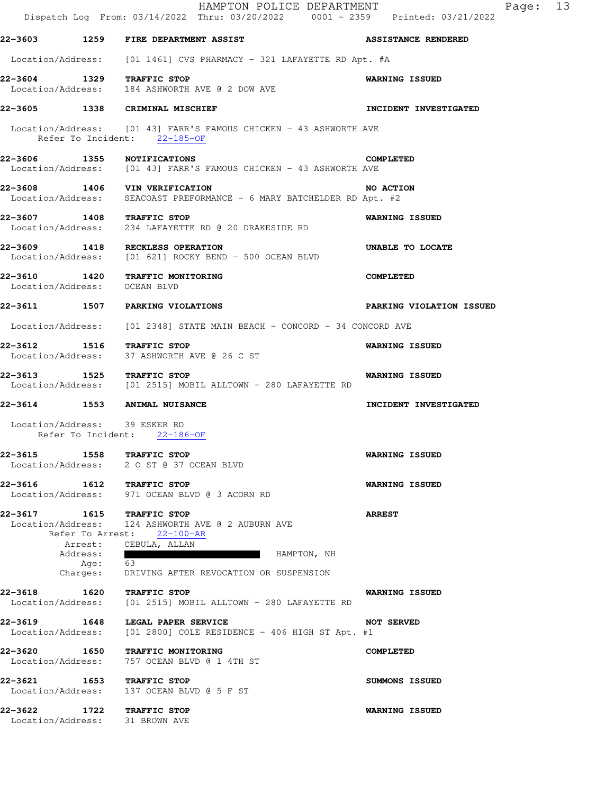|                              |                              | HAMPTON POLICE DEPARTMENT<br>Dispatch Log From: 03/14/2022 Thru: 03/20/2022 0001 - 2359 Printed: 03/21/2022                           | Page: 13                        |
|------------------------------|------------------------------|---------------------------------------------------------------------------------------------------------------------------------------|---------------------------------|
|                              |                              | 22-3603 1259 FIRE DEPARTMENT ASSIST                                                                                                   | <b>ASSISTANCE RENDERED</b>      |
|                              |                              | Location/Address: [01 1461] CVS PHARMACY - 321 LAFAYETTE RD Apt. #A                                                                   |                                 |
|                              |                              | 22-3604 1329 TRAFFIC STOP<br>Location/Address: 184 ASHWORTH AVE @ 2 DOW AVE                                                           | <b>WARNING ISSUED</b>           |
|                              |                              | 22-3605 1338 CRIMINAL MISCHIEF                                                                                                        | INCIDENT INVESTIGATED           |
|                              |                              | Location/Address: [01 43] FARR'S FAMOUS CHICKEN - 43 ASHWORTH AVE<br>Refer To Incident: 22-185-OF                                     |                                 |
|                              |                              | 22-3606 1355 NOTIFICATIONS<br>Location/Address: [01 43] FARR'S FAMOUS CHICKEN - 43 ASHWORTH AVE                                       | <b>COMPLETED</b>                |
|                              |                              | 22-3608 1406 VIN VERIFICATION<br>Location/Address: SEACOAST PREFORMANCE - 6 MARY BATCHELDER RD Apt. #2                                | NO ACTION                       |
|                              |                              | 22-3607 1408 TRAFFIC STOP<br>Location/Address: 234 LAFAYETTE RD @ 20 DRAKESIDE RD                                                     | <b>WARNING ISSUED</b>           |
|                              |                              | 22-3609 1418 RECKLESS OPERATION<br>Location/Address: [01 621] ROCKY BEND - 500 OCEAN BLVD                                             | UNABLE TO LOCATE                |
| Location/Address: OCEAN BLVD |                              | 22-3610 1420 TRAFFIC MONITORING                                                                                                       | <b>COMPLETED</b>                |
|                              |                              | 22-3611 1507 PARKING VIOLATIONS                                                                                                       | <b>PARKING VIOLATION ISSUED</b> |
|                              |                              | Location/Address: [01 2348] STATE MAIN BEACH - CONCORD - 34 CONCORD AVE                                                               |                                 |
|                              |                              | 22-3612 1516 TRAFFIC STOP<br>Location/Address: 37 ASHWORTH AVE @ 26 C ST                                                              | <b>WARNING ISSUED</b>           |
|                              |                              | 22-3613 1525 TRAFFIC STOP<br>Location/Address: [01 2515] MOBIL ALLTOWN - 280 LAFAYETTE RD                                             | <b>WARNING ISSUED</b>           |
|                              |                              | 22-3614 1553 ANIMAL NUISANCE                                                                                                          | INCIDENT INVESTIGATED           |
|                              |                              | Location/Address: 39 ESKER RD<br>Refer To Incident: 22-186-OF                                                                         |                                 |
|                              |                              | 22-3615 1558 TRAFFIC STOP<br>Location/Address: 2 0 ST @ 37 OCEAN BLVD                                                                 | <b>WARNING ISSUED</b>           |
|                              |                              | 22-3616 1612 TRAFFIC STOP<br>Location/Address: 971 OCEAN BLVD @ 3 ACORN RD                                                            | <b>WARNING ISSUED</b>           |
|                              |                              | 22-3617 1615 TRAFFIC STOP<br>Location/Address: 124 ASHWORTH AVE @ 2 AUBURN AVE<br>Refer To Arrest: 22-100-AR<br>Arrest: CEBULA, ALLAN | <b>ARREST</b>                   |
|                              | Address:<br>Age:<br>Charges: | HAMPTON, NH<br><b>TELE</b><br>- 63<br>DRIVING AFTER REVOCATION OR SUSPENSION                                                          |                                 |
| 22-3618<br>Location/Address: |                              | 1620 TRAFFIC STOP<br>[01 2515] MOBIL ALLTOWN - 280 LAFAYETTE RD                                                                       | <b>WARNING ISSUED</b>           |
| Location/Address:            |                              | 22-3619 1648 LEGAL PAPER SERVICE<br>[01 2800] COLE RESIDENCE - 406 HIGH ST Apt. #1                                                    | <b>NOT SERVED</b>               |
| 22-3620<br>Location/Address: |                              | 1650 TRAFFIC MONITORING<br>757 OCEAN BLVD @ 1 4TH ST                                                                                  | <b>COMPLETED</b>                |
| Location/Address:            |                              | 22-3621 1653 TRAFFIC STOP<br>137 OCEAN BLVD @ 5 F ST                                                                                  | SUMMONS ISSUED                  |
| 22–3622                      |                              | 1722 TRAFFIC STOP<br>Location/Address: 31 BROWN AVE                                                                                   | WARNING ISSUED                  |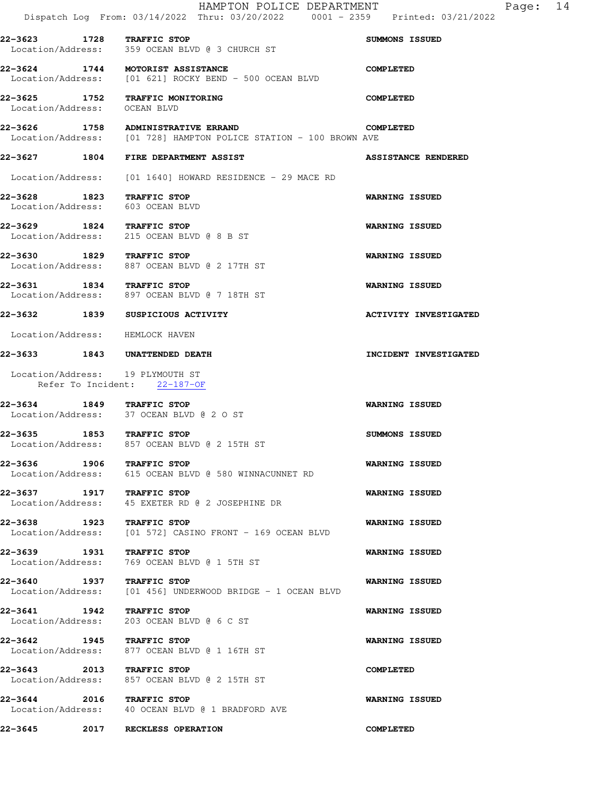|                                                               | HAMPTON POLICE DEPARTMENT<br>Dispatch Log From: 03/14/2022 Thru: 03/20/2022 0001 - 2359 Printed: 03/21/2022 | Page: 14                     |
|---------------------------------------------------------------|-------------------------------------------------------------------------------------------------------------|------------------------------|
| 22-3623 1728 TRAFFIC STOP                                     | Location/Address: 359 OCEAN BLVD @ 3 CHURCH ST                                                              | <b>SUMMONS ISSUED</b>        |
|                                                               | 22-3624 1744 MOTORIST ASSISTANCE<br>Location/Address: [01 621] ROCKY BEND - 500 OCEAN BLVD                  | <b>COMPLETED</b>             |
| Location/Address: OCEAN BLVD                                  | 22-3625 1752 TRAFFIC MONITORING                                                                             | <b>COMPLETED</b>             |
|                                                               | 22-3626 1758 ADMINISTRATIVE ERRAND<br>Location/Address: [01 728] HAMPTON POLICE STATION - 100 BROWN AVE     | <b>COMPLETED</b>             |
|                                                               | <b>22-3627 1804 FIRE DEPARTMENT ASSIST</b>                                                                  | <b>ASSISTANCE RENDERED</b>   |
|                                                               | Location/Address: [01 1640] HOWARD RESIDENCE - 29 MACE RD                                                   |                              |
| 22-3628 1823 TRAFFIC STOP<br>Location/Address: 603 OCEAN BLVD |                                                                                                             | <b>WARNING ISSUED</b>        |
| 22-3629 1824 TRAFFIC STOP                                     | Location/Address: 215 OCEAN BLVD @ 8 B ST                                                                   | <b>WARNING ISSUED</b>        |
| 22-3630 1829 TRAFFIC STOP                                     | Location/Address: 887 OCEAN BLVD @ 2 17TH ST                                                                | WARNING ISSUED               |
| 22-3631 1834 TRAFFIC STOP                                     | Location/Address: 897 OCEAN BLVD @ 7 18TH ST                                                                | <b>WARNING ISSUED</b>        |
|                                                               | 22-3632 1839 SUSPICIOUS ACTIVITY                                                                            | <b>ACTIVITY INVESTIGATED</b> |
| Location/Address: HEMLOCK HAVEN                               |                                                                                                             |                              |
|                                                               | 22-3633 1843 UNATTENDED DEATH                                                                               | INCIDENT INVESTIGATED        |
| Location/Address: 19 PLYMOUTH ST                              | Refer To Incident: 22-187-OF                                                                                |                              |
| 22-3634 1849 TRAFFIC STOP                                     | Location/Address: 37 OCEAN BLVD @ 2 O ST                                                                    | <b>WARNING ISSUED</b>        |
| 22-3635 1853 TRAFFIC STOP                                     | Location/Address: 857 OCEAN BLVD @ 2 15TH ST                                                                | SUMMONS ISSUED               |
| 22-3636 1906 TRAFFIC STOP                                     | Location/Address: 615 OCEAN BLVD @ 580 WINNACUNNET RD                                                       | <b>WARNING ISSUED</b>        |
| 22-3637 1917 TRAFFIC STOP<br>Location/Address:                | 45 EXETER RD @ 2 JOSEPHINE DR                                                                               | <b>WARNING ISSUED</b>        |
| 22-3638 1923 TRAFFIC STOP                                     | Location/Address: [01 572] CASINO FRONT - 169 OCEAN BLVD                                                    | <b>WARNING ISSUED</b>        |
| 22-3639 1931 TRAFFIC STOP<br>Location/Address:                | 769 OCEAN BLVD @ 1 5TH ST                                                                                   | WARNING ISSUED               |
| 22-3640 1937 TRAFFIC STOP                                     | Location/Address: [01 456] UNDERWOOD BRIDGE - 1 OCEAN BLVD                                                  | <b>WARNING ISSUED</b>        |
| 22-3641 1942 TRAFFIC STOP<br>Location/Address:                | 203 OCEAN BLVD @ 6 C ST                                                                                     | <b>WARNING ISSUED</b>        |
| 22-3642 1945 TRAFFIC STOP                                     | Location/Address: 877 OCEAN BLVD @ 1 16TH ST                                                                | <b>WARNING ISSUED</b>        |
| 22-3643 2013 TRAFFIC STOP                                     | Location/Address: 857 OCEAN BLVD @ 2 15TH ST                                                                | <b>COMPLETED</b>             |
| 22-3644 2016 TRAFFIC STOP                                     | Location/Address: 40 OCEAN BLVD @ 1 BRADFORD AVE                                                            | <b>WARNING ISSUED</b>        |
| 22–3645                                                       | 2017 RECKLESS OPERATION                                                                                     | <b>COMPLETED</b>             |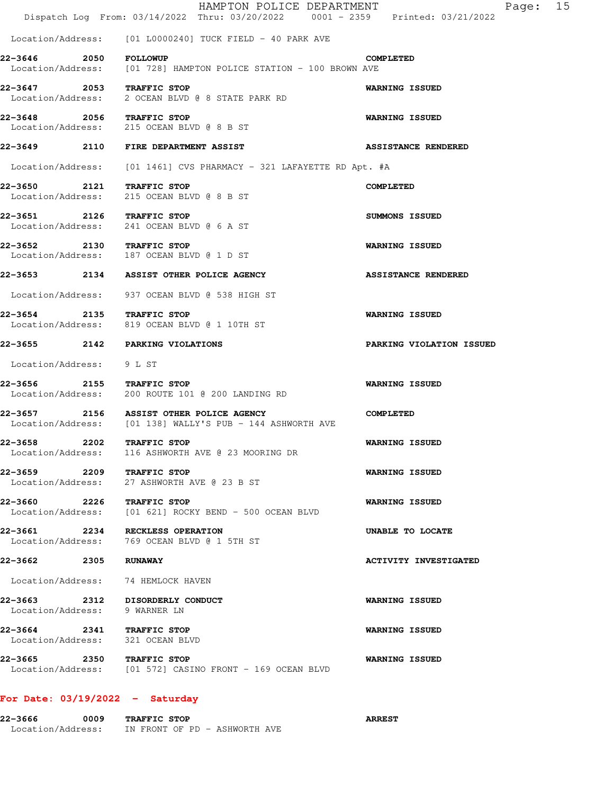|                                   | HAMPTON POLICE DEPARTMENT<br>Dispatch Log From: 03/14/2022 Thru: 03/20/2022 0001 - 2359 Printed: 03/21/2022 | 15<br>Page:                  |  |
|-----------------------------------|-------------------------------------------------------------------------------------------------------------|------------------------------|--|
|                                   | $Location/Address:$ [01 L0000240] TUCK FIELD - 40 PARK AVE                                                  |                              |  |
| 22-3646                           | <b>2050 FOLLOWUP</b><br>Location/Address: [01 728] HAMPTON POLICE STATION - 100 BROWN AVE                   | <b>COMPLETED</b>             |  |
| 22-3647 2053 TRAFFIC STOP         | Location/Address: 2 OCEAN BLVD @ 8 STATE PARK RD                                                            | <b>WARNING ISSUED</b>        |  |
| 22-3648 2056 TRAFFIC STOP         | Location/Address: 215 OCEAN BLVD @ 8 B ST                                                                   | <b>WARNING ISSUED</b>        |  |
|                                   | 22-3649 2110 FIRE DEPARTMENT ASSIST                                                                         | <b>ASSISTANCE RENDERED</b>   |  |
|                                   | Location/Address: [01 1461] CVS PHARMACY - 321 LAFAYETTE RD Apt. #A                                         |                              |  |
| 22–3650 2121                      | TRAFFIC STOP<br>Location/Address: 215 OCEAN BLVD @ 8 B ST                                                   | <b>COMPLETED</b>             |  |
| 22-3651 2126 TRAFFIC STOP         | Location/Address: 241 OCEAN BLVD @ 6 A ST                                                                   | SUMMONS ISSUED               |  |
| 22-3652 2130 TRAFFIC STOP         | Location/Address: 187 OCEAN BLVD @ 1 D ST                                                                   | <b>WARNING ISSUED</b>        |  |
|                                   | 22-3653 2134 ASSIST OTHER POLICE AGENCY                                                                     | <b>ASSISTANCE RENDERED</b>   |  |
|                                   | Location/Address: 937 OCEAN BLVD @ 538 HIGH ST                                                              |                              |  |
| 22-3654 2135 TRAFFIC STOP         | Location/Address: 819 OCEAN BLVD @ 1 10TH ST                                                                | <b>WARNING ISSUED</b>        |  |
|                                   | 22-3655 2142 PARKING VIOLATIONS                                                                             | PARKING VIOLATION ISSUED     |  |
| Location/Address: 9 L ST          |                                                                                                             |                              |  |
| 22-3656 2155 TRAFFIC STOP         | Location/Address: 200 ROUTE 101 @ 200 LANDING RD                                                            | <b>WARNING ISSUED</b>        |  |
|                                   | 22-3657 2156 ASSIST OTHER POLICE AGENCY<br>Location/Address: [01 138] WALLY'S PUB - 144 ASHWORTH AVE        | <b>COMPLETED</b>             |  |
| 22-3658 2202<br>Location/Address: | TRAFFIC STOP<br>116 ASHWORTH AVE @ 23 MOORING DR                                                            | <b>WARNING ISSUED</b>        |  |
| 22–3659 2209                      | TRAFFIC STOP<br>Location/Address: 27 ASHWORTH AVE @ 23 B ST                                                 | <b>WARNING ISSUED</b>        |  |
| 22-3660 2226 TRAFFIC STOP         | Location/Address: [01 621] ROCKY BEND - 500 OCEAN BLVD                                                      | WARNING ISSUED               |  |
|                                   | 22-3661 2234 RECKLESS OPERATION<br>Location/Address: 769 OCEAN BLVD @ 1 5TH ST                              | UNABLE TO LOCATE             |  |
| 22–3662 2305                      | <b>RUNAWAY</b>                                                                                              | <b>ACTIVITY INVESTIGATED</b> |  |
|                                   | Location/Address: 74 HEMLOCK HAVEN                                                                          |                              |  |
|                                   | 22-3663 2312 DISORDERLY CONDUCT<br>Location/Address: 9 WARNER LN                                            | <b>WARNING ISSUED</b>        |  |
| 22-3664 2341 TRAFFIC STOP         | Location/Address: 321 OCEAN BLVD                                                                            | <b>WARNING ISSUED</b>        |  |
| 22-3665 2350 TRAFFIC STOP         | Location/Address: [01 572] CASINO FRONT - 169 OCEAN BLVD                                                    | <b>WARNING ISSUED</b>        |  |
|                                   |                                                                                                             |                              |  |

# **For Date: 03/19/2022 - Saturday**

| 22–3666           | 0009 | <b>TRAFFIC STOP</b>           | <b>ARREST</b> |
|-------------------|------|-------------------------------|---------------|
| Location/Address: |      | IN FRONT OF PD - ASHWORTH AVE |               |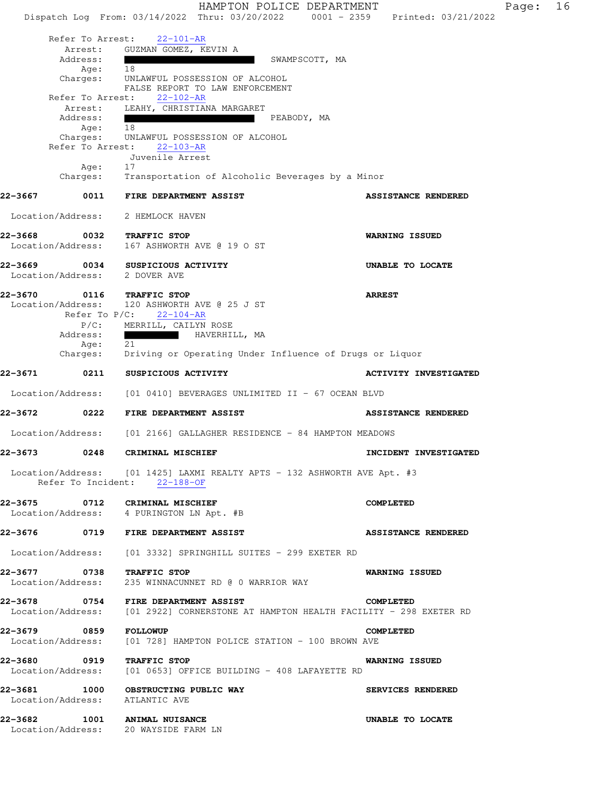HAMPTON POLICE DEPARTMENT Fage: 16 Dispatch Log From: 03/14/2022 Thru: 03/20/2022 0001 - 2359 Printed: 03/21/2022 Refer To Arrest: 22-101-AR Arrest: GUZMAN GOMEZ, KEVIN A Address: SWAMPSCOTT, MA Age: 18 Charges: UNLAWFUL POSSESSION OF ALCOHOL FALSE REPORT TO LAW ENFORCEMENT Refer To Arrest: 22-102-AR Arrest: LEAHY, CHRISTIANA MARGARET Address: PEABODY, MA Age: 18 Charges: UNLAWFUL POSSESSION OF ALCOHOL Refer To Arrest: 22-103-AR Juvenile Arrest Age: 17 Charges: Transportation of Alcoholic Beverages by a Minor **22-3667 0011 FIRE DEPARTMENT ASSIST ASSISTANCE RENDERED**  Location/Address: 2 HEMLOCK HAVEN **22-3668 0032 TRAFFIC STOP WARNING ISSUED**  Location/Address: 167 ASHWORTH AVE @ 19 O ST **22-3669 0034 SUSPICIOUS ACTIVITY UNABLE TO LOCATE**  Location/Address: 2 DOVER AVE **22-3670 0116 TRAFFIC STOP ARREST**  Location/Address: 120 ASHWORTH AVE @ 25 J ST Refer To P/C: 22-104-AR P/C: MERRILL, CAILYN ROSE Address: HAVERHILL, MA Age: 21<br>Charges: Dr. Driving or Operating Under Influence of Drugs or Liquor **22-3671 0211 SUSPICIOUS ACTIVITY ACTIVITY INVESTIGATED**  Location/Address: [01 0410] BEVERAGES UNLIMITED II - 67 OCEAN BLVD **22-3672 0222 FIRE DEPARTMENT ASSIST ASSISTANCE RENDERED**  Location/Address: [01 2166] GALLAGHER RESIDENCE - 84 HAMPTON MEADOWS **22-3673 0248 CRIMINAL MISCHIEF INCIDENT INVESTIGATED**  Location/Address: [01 1425] LAXMI REALTY APTS - 132 ASHWORTH AVE Apt. #3 Refer To Incident: 22-188-OF **22-3675 0712 CRIMINAL MISCHIEF COMPLETED**  Location/Address: 4 PURINGTON LN Apt. #B **22-3676 0719 FIRE DEPARTMENT ASSIST ASSISTANCE RENDERED**  Location/Address: [01 3332] SPRINGHILL SUITES - 299 EXETER RD **22-3677 0738 TRAFFIC STOP WARNING ISSUED**  235 WINNACUNNET RD @ 0 WARRIOR WAY **22-3678 0754 FIRE DEPARTMENT ASSIST COMPLETED**  Location/Address: [01 2922] CORNERSTONE AT HAMPTON HEALTH FACILITY - 298 EXETER RD **22-3679 0859 FOLLOWUP COMPLETED**  Location/Address: [01 728] HAMPTON POLICE STATION - 100 BROWN AVE **22-3680 0919 TRAFFIC STOP WARNING ISSUED**  Location/Address: [01 0653] OFFICE BUILDING - 408 LAFAYETTE RD **22-3681 1000 OBSTRUCTING PUBLIC WAY SERVICES RENDERED**  Location/Address: ATLANTIC AVE **22-3682 1001 ANIMAL NUISANCE UNABLE TO LOCATE** 

Location/Address: 20 WAYSIDE FARM LN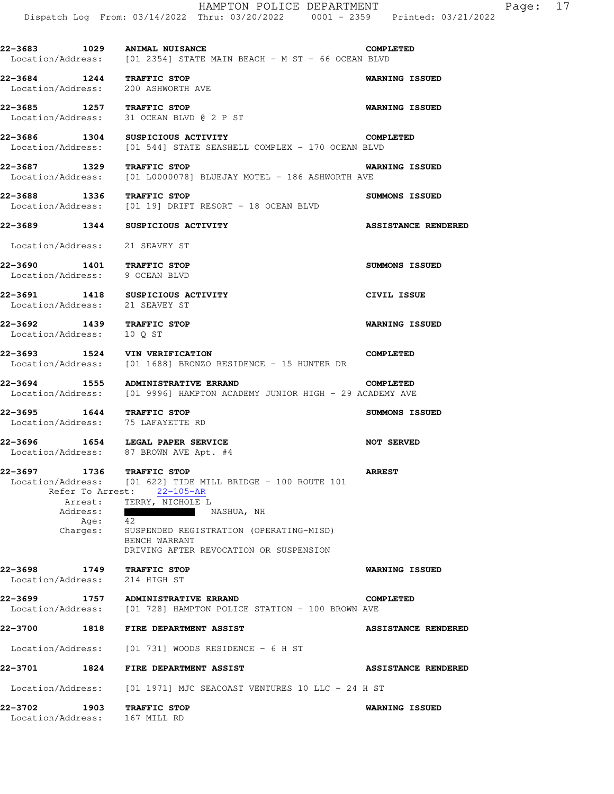|                                                                                                                              | HAMPTON POLICE DEPARTMENT<br>Dispatch Log From: 03/14/2022 Thru: 03/20/2022 0001 - 2359 Printed: 03/21/2022                                                                                                                   | 17<br>Page:                |
|------------------------------------------------------------------------------------------------------------------------------|-------------------------------------------------------------------------------------------------------------------------------------------------------------------------------------------------------------------------------|----------------------------|
| 22-3683 1029 ANIMAL NUISANCE                                                                                                 | Location/Address: [01 2354] STATE MAIN BEACH - M ST - 66 OCEAN BLVD                                                                                                                                                           | <b>COMPLETED</b>           |
| 22-3684 1244 TRAFFIC STOP<br>Location/Address:                                                                               | 200 ASHWORTH AVE                                                                                                                                                                                                              | <b>WARNING ISSUED</b>      |
| 22-3685 1257 TRAFFIC STOP                                                                                                    |                                                                                                                                                                                                                               | <b>WARNING ISSUED</b>      |
| Location/Address: 31 OCEAN BLVD @ 2 P ST<br>22-3686 1304 SUSPICIOUS ACTIVITY                                                 |                                                                                                                                                                                                                               | <b>COMPLETED</b>           |
| Location/Address:<br>22-3687 1329                                                                                            | [01 544] STATE SEASHELL COMPLEX - 170 OCEAN BLVD<br>TRAFFIC STOP                                                                                                                                                              | <b>WARNING ISSUED</b>      |
| Location/Address:                                                                                                            | $[01 L0000078]$ BLUEJAY MOTEL - 186 ASHWORTH AVE                                                                                                                                                                              |                            |
| 22-3688 1336 TRAFFIC STOP<br>Location/Address:                                                                               | [01 19] DRIFT RESORT - 18 OCEAN BLVD                                                                                                                                                                                          | SUMMONS ISSUED             |
| 22-3689 1344 SUSPICIOUS ACTIVITY                                                                                             |                                                                                                                                                                                                                               | <b>ASSISTANCE RENDERED</b> |
| Location/Address: 21 SEAVEY ST                                                                                               |                                                                                                                                                                                                                               |                            |
| 22-3690 1401 TRAFFIC STOP<br>Location/Address: 9 OCEAN BLVD                                                                  |                                                                                                                                                                                                                               | <b>SUMMONS ISSUED</b>      |
| 22-3691 1418 SUSPICIOUS ACTIVITY<br>Location/Address:                                                                        | 21 SEAVEY ST                                                                                                                                                                                                                  | CIVIL ISSUE                |
| 22-3692 1439 TRAFFIC STOP<br>Location/Address:<br>10 Q ST                                                                    |                                                                                                                                                                                                                               | <b>WARNING ISSUED</b>      |
| 22-3693 1524 VIN VERIFICATION<br>Location/Address:                                                                           | [01 1688] BRONZO RESIDENCE - 15 HUNTER DR                                                                                                                                                                                     | <b>COMPLETED</b>           |
| 22-3694 1555                                                                                                                 | <b>ADMINISTRATIVE ERRAND</b><br>Location/Address: [01 9996] HAMPTON ACADEMY JUNIOR HIGH - 29 ACADEMY AVE                                                                                                                      | <b>COMPLETED</b>           |
| 22-3695 1644 TRAFFIC STOP<br>Location/Address: 75 LAFAYETTE RD                                                               |                                                                                                                                                                                                                               | <b>SUMMONS ISSUED</b>      |
| 1654 LEGAL PAPER SERVICE<br>22–3696<br>Location/Address: 87 BROWN AVE Apt. #4                                                |                                                                                                                                                                                                                               | <b>NOT SERVED</b>          |
| 22-3697<br>1736 TRAFFIC STOP<br>Refer To Arrest: 22-105-AR<br>Arrest: TERRY, NICHOLE L<br>Address:<br>Age:<br>42<br>Charges: | Location/Address: [01 622] TIDE MILL BRIDGE - 100 ROUTE 101<br><b>Contract Contract Contract Contract</b><br>NASHUA, NH<br>SUSPENDED REGISTRATION (OPERATING-MISD)<br>BENCH WARRANT<br>DRIVING AFTER REVOCATION OR SUSPENSION | <b>ARREST</b>              |
| 1749 TRAFFIC STOP<br>22-3698<br>Location/Address:                                                                            | 214 HIGH ST                                                                                                                                                                                                                   | <b>WARNING ISSUED</b>      |
| 22-3699 1757 ADMINISTRATIVE ERRAND                                                                                           | Location/Address: [01 728] HAMPTON POLICE STATION - 100 BROWN AVE                                                                                                                                                             | <b>COMPLETED</b>           |
| 22-3700 1818 FIRE DEPARTMENT ASSIST                                                                                          |                                                                                                                                                                                                                               | <b>ASSISTANCE RENDERED</b> |
|                                                                                                                              | $Location/Address:$ [01 731] WOODS RESIDENCE - 6 H ST                                                                                                                                                                         |                            |
| 22-3701                                                                                                                      | 1824 FIRE DEPARTMENT ASSIST                                                                                                                                                                                                   | <b>ASSISTANCE RENDERED</b> |
|                                                                                                                              | Location/Address: [01 1971] MJC SEACOAST VENTURES 10 LLC - 24 H ST                                                                                                                                                            |                            |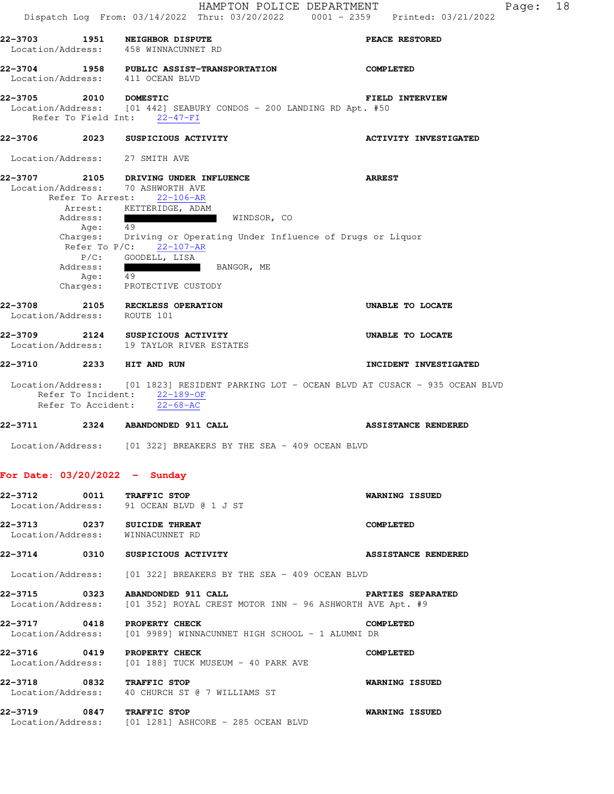HAMPTON POLICE DEPARTMENT Fage: 18 Dispatch Log From: 03/14/2022 Thru: 03/20/2022 0001 - 2359 Printed: 03/21/2022 **22-3703 1951 NEIGHBOR DISPUTE PEACE RESTORED**  Location/Address: 458 WINNACUNNET RD **22-3704 1958 PUBLIC ASSIST-TRANSPORTATION COMPLETED**  Location/Address: 411 OCEAN BLVD **22-3705 2010 DOMESTIC FIELD INTERVIEW**  Location/Address: [01 442] SEABURY CONDOS - 200 LANDING RD Apt. #50 Refer To Field Int: 22-47-FI **22-3706 2023 SUSPICIOUS ACTIVITY ACTIVITY INVESTIGATED**  Location/Address: 27 SMITH AVE **22-3707 2105 DRIVING UNDER INFLUENCE ARREST**  Location/Address: 70 ASHWORTH AVE Refer To Arrest: 22-106-AR Arrest: KETTERIDGE, ADAM Address: WINDSOR, CO Age: 49 Charges: Driving or Operating Under Influence of Drugs or Liquor Refer To P/C: 22-107-AR P/C: GOODELL, LISA Address:  $\frac{1}{49}$  BANGOR, ME Age: Charges: PROTECTIVE CUSTODY **22-3708 2105 RECKLESS OPERATION UNABLE TO LOCATE**  Location/Address: ROUTE 101 **22-3709 2124 SUSPICIOUS ACTIVITY UNABLE TO LOCATE**  Location/Address: 19 TAYLOR RIVER ESTATES **22-3710 2233 HIT AND RUN INCIDENT INVESTIGATED**  Location/Address: [01 1823] RESIDENT PARKING LOT - OCEAN BLVD AT CUSACK - 935 OCEAN BLVD Refer To Incident: 22-189-OF Refer To Accident: 22-68-AC **22-3711 2324 ABANDONDED 911 CALL ASSISTANCE RENDERED**  Location/Address: [01 322] BREAKERS BY THE SEA - 409 OCEAN BLVD **For Date: 03/20/2022 - Sunday 22-3712 0011 TRAFFIC STOP WARNING ISSUED**  Location/Address: 91 OCEAN BLVD @ 1 J ST **22-3713 0237 SUICIDE THREAT COMPLETED**  Location/Address: WINNACUNNET RD **22-3714 0310 SUSPICIOUS ACTIVITY ASSISTANCE RENDERED**  Location/Address: [01 322] BREAKERS BY THE SEA - 409 OCEAN BLVD **22-3715 0323 ABANDONDED 911 CALL PARTIES SEPARATED**  Location/Address: [01 352] ROYAL CREST MOTOR INN - 96 ASHWORTH AVE Apt. #9 **22-3717 0418 PROPERTY CHECK COMPLETED**<br>Location/Address: [01 9989] WINNACUNNET HIGH SCHOOL - 1 ALUMNI DR [01 9989] WINNACUNNET HIGH SCHOOL - 1 ALUMNI DR **22-3716 0419 PROPERTY CHECK COMPLETED**  Location/Address: [01 188] TUCK MUSEUM - 40 PARK AVE **22-3718 0832 TRAFFIC STOP WARNING ISSUED**  Location/Address: 40 CHURCH ST @ 7 WILLIAMS ST **22-3719 0847 TRAFFIC STOP WARNING ISSUED**  Location/Address: [01 1281] ASHCORE - 285 OCEAN BLVD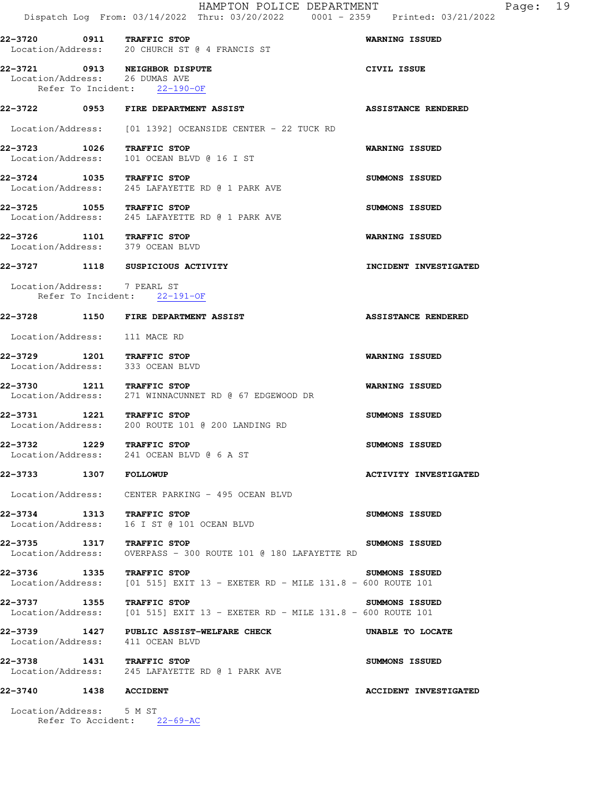|                                |      | HAMPTON POLICE DEPARTMENT<br>Dispatch Log From: 03/14/2022 Thru: 03/20/2022 0001 - 2359 Printed: 03/21/2022 | Page: 19                     |
|--------------------------------|------|-------------------------------------------------------------------------------------------------------------|------------------------------|
| 22-3720 0911 TRAFFIC STOP      |      | Location/Address: 20 CHURCH ST @ 4 FRANCIS ST                                                               | <b>WARNING ISSUED</b>        |
| Location/Address: 26 DUMAS AVE |      | 22-3721 0913 NEIGHBOR DISPUTE<br>Refer To Incident: 22-190-OF                                               | CIVIL ISSUE                  |
|                                |      | 22-3722 0953 FIRE DEPARTMENT ASSIST                                                                         | <b>ASSISTANCE RENDERED</b>   |
|                                |      | Location/Address: [01 1392] OCEANSIDE CENTER - 22 TUCK RD                                                   |                              |
| 22-3723 1026 TRAFFIC STOP      |      | Location/Address: 101 OCEAN BLVD @ 16 I ST                                                                  | WARNING ISSUED               |
| 22-3724 1035 TRAFFIC STOP      |      | Location/Address: 245 LAFAYETTE RD @ 1 PARK AVE                                                             | SUMMONS ISSUED               |
| 22-3725 1055 TRAFFIC STOP      |      | Location/Address: 245 LAFAYETTE RD @ 1 PARK AVE                                                             | SUMMONS ISSUED               |
| 22-3726 1101 TRAFFIC STOP      |      | Location/Address: 379 OCEAN BLVD                                                                            | <b>WARNING ISSUED</b>        |
|                                |      | 22-3727 1118 SUSPICIOUS ACTIVITY                                                                            | INCIDENT INVESTIGATED        |
| Location/Address: 7 PEARL ST   |      | Refer To Incident: 22-191-OF                                                                                |                              |
|                                |      | 22-3728 1150 FIRE DEPARTMENT ASSIST                                                                         | <b>ASSISTANCE RENDERED</b>   |
| Location/Address: 111 MACE RD  |      |                                                                                                             |                              |
| 22-3729 1201 TRAFFIC STOP      |      | Location/Address: 333 OCEAN BLVD                                                                            | WARNING ISSUED               |
|                                |      | 22-3730 1211 TRAFFIC STOP<br>Location/Address: 271 WINNACUNNET RD @ 67 EDGEWOOD DR                          | <b>WARNING ISSUED</b>        |
| 22-3731 1221 TRAFFIC STOP      |      | Location/Address: 200 ROUTE 101 @ 200 LANDING RD                                                            | <b>SUMMONS ISSUED</b>        |
| 22–3732                        | 1229 | TRAFFIC STOP<br>Location/Address: 241 OCEAN BLVD @ 6 A ST                                                   | SUMMONS ISSUED               |
| <b>22-3733 1307 FOLLOWUP</b>   |      |                                                                                                             | <b>ACTIVITY INVESTIGATED</b> |
|                                |      | Location/Address: CENTER PARKING - 495 OCEAN BLVD                                                           |                              |
| 22-3734 1313 TRAFFIC STOP      |      | Location/Address: 16 I ST @ 101 OCEAN BLVD                                                                  | SUMMONS ISSUED               |
| 22-3735 1317 TRAFFIC STOP      |      | Location/Address: OVERPASS - 300 ROUTE 101 @ 180 LAFAYETTE RD                                               | SUMMONS ISSUED               |
| 22-3736 1335 TRAFFIC STOP      |      | Location/Address: $[01\;515]$ EXIT 13 - EXETER RD - MILE 131.8 - 600 ROUTE 101                              | <b>SUMMONS ISSUED</b>        |
| 22-3737 1355 TRAFFIC STOP      |      | Location/Address: [01 515] EXIT 13 - EXETER RD - MILE 131.8 - 600 ROUTE 101                                 | SUMMONS ISSUED               |
|                                |      | 22-3739 1427 PUBLIC ASSIST-WELFARE CHECK<br>Location/Address: 411 OCEAN BLVD                                | UNABLE TO LOCATE             |
| 22-3738 1431 TRAFFIC STOP      |      | Location/Address: 245 LAFAYETTE RD @ 1 PARK AVE                                                             | SUMMONS ISSUED               |
| 22-3740 1438 ACCIDENT          |      |                                                                                                             | <b>ACCIDENT INVESTIGATED</b> |
| Location/Address: 5 M ST       |      | Refer To Accident: 22-69-AC                                                                                 |                              |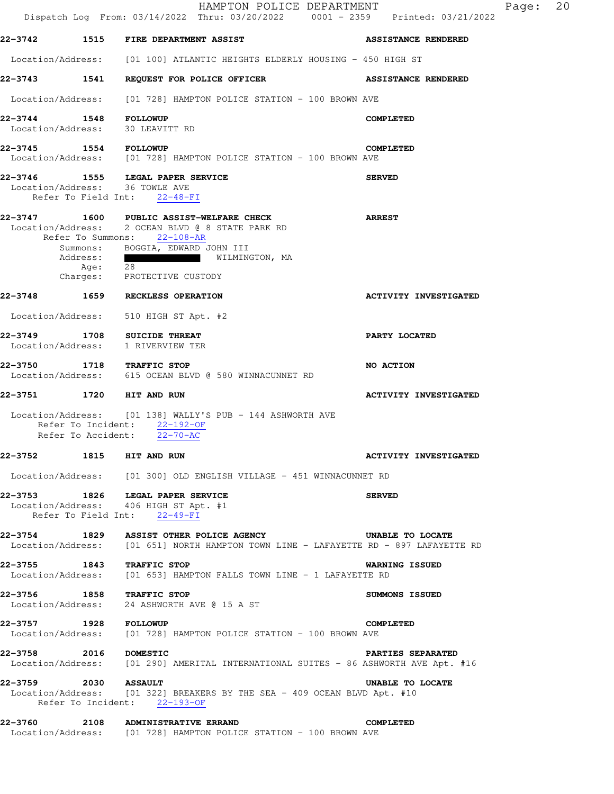|                              |                                          | HAMPTON POLICE DEPARTMENT<br>Dispatch Log From: 03/14/2022 Thru: 03/20/2022 0001 - 2359 Printed: 03/21/2022                                                                                                          | Page:                        | 20 |
|------------------------------|------------------------------------------|----------------------------------------------------------------------------------------------------------------------------------------------------------------------------------------------------------------------|------------------------------|----|
|                              |                                          | 22-3742 1515 FIRE DEPARTMENT ASSIST                                                                                                                                                                                  | <b>ASSISTANCE RENDERED</b>   |    |
|                              |                                          | Location/Address: [01 100] ATLANTIC HEIGHTS ELDERLY HOUSING - 450 HIGH ST                                                                                                                                            |                              |    |
|                              |                                          | 22-3743 1541 REQUEST FOR POLICE OFFICER                                                                                                                                                                              | <b>ASSISTANCE RENDERED</b>   |    |
| Location/Address:            |                                          | [01 728] HAMPTON POLICE STATION - 100 BROWN AVE                                                                                                                                                                      |                              |    |
| 22-3744<br>Location/Address: |                                          | <b>1548 FOLLOWUP</b><br>30 LEAVITT RD                                                                                                                                                                                | <b>COMPLETED</b>             |    |
| 22-3745 1554 FOLLOWUP        |                                          | Location/Address: [01 728] HAMPTON POLICE STATION - 100 BROWN AVE                                                                                                                                                    | <b>COMPLETED</b>             |    |
| 22-3746                      |                                          | 1555 LEGAL PAPER SERVICE<br>Location/Address: 36 TOWLE AVE<br>Refer To Field Int: 22-48-FI                                                                                                                           | <b>SERVED</b>                |    |
|                              | Refer To Summons:<br>Address:<br>Age: 28 | 22-3747  1600 PUBLIC ASSIST-WELFARE CHECK<br>Location/Address: 2 OCEAN BLVD @ 8 STATE PARK RD<br>22-108-AR<br>Summons: BOGGIA, EDWARD JOHN III<br>WILMINGTON, MA<br><b>The Second</b><br>Charges: PROTECTIVE CUSTODY | <b>ARREST</b>                |    |
|                              |                                          | 22-3748 1659 RECKLESS OPERATION                                                                                                                                                                                      | <b>ACTIVITY INVESTIGATED</b> |    |
| Location/Address:            |                                          | 510 HIGH ST Apt. #2                                                                                                                                                                                                  |                              |    |
| 22–3749<br>Location/Address: |                                          | 1708 SUICIDE THREAT<br>1 RIVERVIEW TER                                                                                                                                                                               | PARTY LOCATED                |    |
|                              |                                          | 22-3750 1718 TRAFFIC STOP<br>Location/Address: 615 OCEAN BLVD @ 580 WINNACUNNET RD                                                                                                                                   | NO ACTION                    |    |
|                              |                                          | <b>22-3751 1720 HIT AND RUN</b>                                                                                                                                                                                      | <b>ACTIVITY INVESTIGATED</b> |    |
|                              |                                          | Location/Address: [01 138] WALLY'S PUB - 144 ASHWORTH AVE<br>Refer To Incident: 22-192-OF<br>Refer To Accident: 22-70-AC                                                                                             |                              |    |
| 22–3752                      |                                          | 1815 HIT AND RUN                                                                                                                                                                                                     | <b>ACTIVITY INVESTIGATED</b> |    |
|                              |                                          | Location/Address: [01 300] OLD ENGLISH VILLAGE - 451 WINNACUNNET RD                                                                                                                                                  |                              |    |
|                              |                                          | 22-3753 1826 LEGAL PAPER SERVICE<br>Location/Address: 406 HIGH ST Apt. #1<br>Refer To Field Int: 22-49-FI                                                                                                            | <b>SERVED</b>                |    |
|                              |                                          | 22-3754 1829 ASSIST OTHER POLICE AGENCY<br>Location/Address: [01 651] NORTH HAMPTON TOWN LINE - LAFAYETTE RD - 897 LAFAYETTE RD                                                                                      | <b>UNABLE TO LOCATE</b>      |    |
| Location/Address:            |                                          | 22-3755 1843 TRAFFIC STOP<br>[01 653] HAMPTON FALLS TOWN LINE - 1 LAFAYETTE RD                                                                                                                                       | <b>WARNING ISSUED</b>        |    |
|                              |                                          | 22-3756 1858 TRAFFIC STOP<br>Location/Address: 24 ASHWORTH AVE @ 15 A ST                                                                                                                                             | SUMMONS ISSUED               |    |
| 22-3757 1928 FOLLOWUP        |                                          | Location/Address: [01 728] HAMPTON POLICE STATION - 100 BROWN AVE                                                                                                                                                    | <b>COMPLETED</b>             |    |
| 22–3758                      |                                          | 2016 DOMESTIC<br>Location/Address: [01 290] AMERITAL INTERNATIONAL SUITES - 86 ASHWORTH AVE Apt. #16                                                                                                                 | PARTIES SEPARATED            |    |
| 22-3759 2030 ASSAULT         |                                          | Location/Address: [01 322] BREAKERS BY THE SEA - 409 OCEAN BLVD Apt. #10<br>Refer To Incident: 22-193-OF                                                                                                             | UNABLE TO LOCATE             |    |
| 22-3760                      |                                          | <b>2108 ADMINISTRATIVE ERRAND</b><br>Location/Address: [01 728] HAMPTON POLICE STATION - 100 BROWN AVE                                                                                                               | <b>COMPLETED</b>             |    |